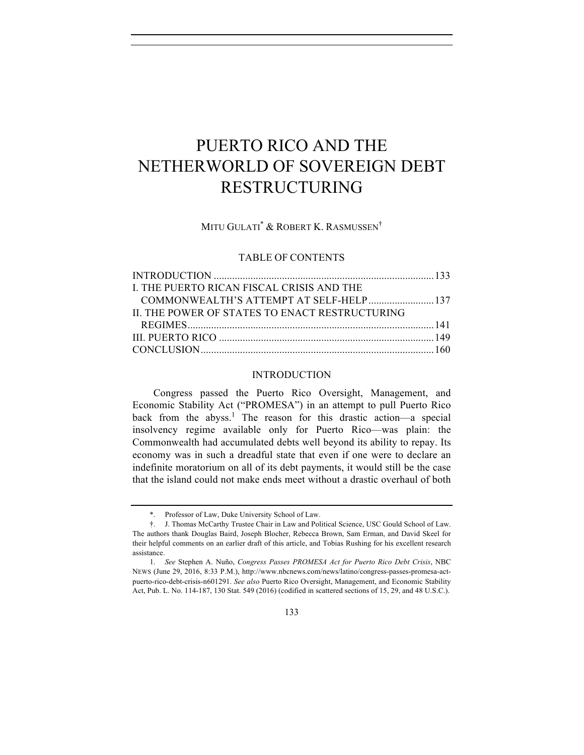# PUERTO RICO AND THE NETHERWORLD OF SOVEREIGN DEBT RESTRUCTURING

MITU GULATI\* & ROBERT K. RASMUSSEN†

### TABLE OF CONTENTS

| I. THE PUERTO RICAN FISCAL CRISIS AND THE     |  |
|-----------------------------------------------|--|
|                                               |  |
| IL THE POWER OF STATES TO ENACT RESTRUCTURING |  |
|                                               |  |
|                                               |  |
|                                               |  |

#### INTRODUCTION

Congress passed the Puerto Rico Oversight, Management, and Economic Stability Act ("PROMESA") in an attempt to pull Puerto Rico back from the abyss.<sup>1</sup> The reason for this drastic action—a special insolvency regime available only for Puerto Rico—was plain: the Commonwealth had accumulated debts well beyond its ability to repay. Its economy was in such a dreadful state that even if one were to declare an indefinite moratorium on all of its debt payments, it would still be the case that the island could not make ends meet without a drastic overhaul of both

<sup>\*.</sup> Professor of Law, Duke University School of Law.

<sup>†.</sup> J. Thomas McCarthy Trustee Chair in Law and Political Science, USC Gould School of Law. The authors thank Douglas Baird, Joseph Blocher, Rebecca Brown, Sam Erman, and David Skeel for their helpful comments on an earlier draft of this article, and Tobias Rushing for his excellent research assistance.

<sup>1.</sup> *See* Stephen A. Nuño, *Congress Passes PROMESA Act for Puerto Rico Debt Crisis*, NBC NEWS (June 29, 2016, 8:33 P.M.), http://www.nbcnews.com/news/latino/congress-passes-promesa-actpuerto-rico-debt-crisis-n601291. *See also* Puerto Rico Oversight, Management, and Economic Stability Act, Pub. L. No. 114-187, 130 Stat. 549 (2016) (codified in scattered sections of 15, 29, and 48 U.S.C.).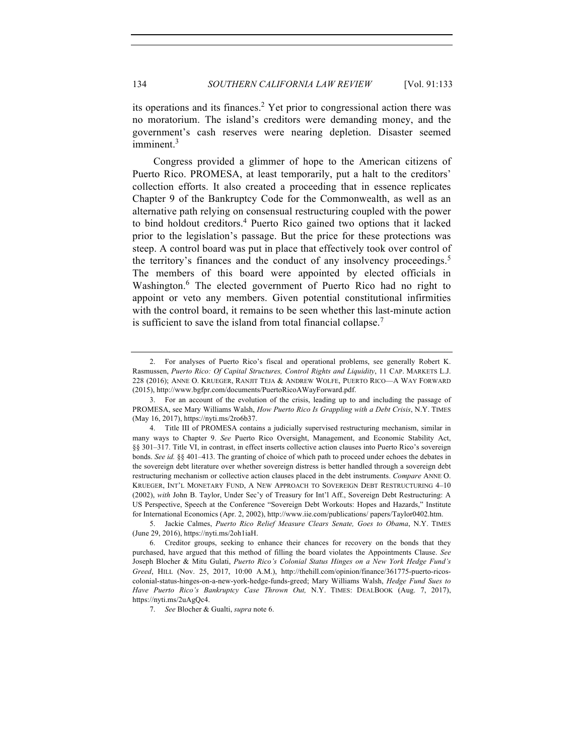its operations and its finances.<sup>2</sup> Yet prior to congressional action there was no moratorium. The island's creditors were demanding money, and the government's cash reserves were nearing depletion. Disaster seemed imminent.<sup>3</sup>

Congress provided a glimmer of hope to the American citizens of Puerto Rico. PROMESA, at least temporarily, put a halt to the creditors' collection efforts. It also created a proceeding that in essence replicates Chapter 9 of the Bankruptcy Code for the Commonwealth, as well as an alternative path relying on consensual restructuring coupled with the power to bind holdout creditors.<sup>4</sup> Puerto Rico gained two options that it lacked prior to the legislation's passage. But the price for these protections was steep. A control board was put in place that effectively took over control of the territory's finances and the conduct of any insolvency proceedings.<sup>5</sup> The members of this board were appointed by elected officials in Washington.<sup>6</sup> The elected government of Puerto Rico had no right to appoint or veto any members. Given potential constitutional infirmities with the control board, it remains to be seen whether this last-minute action is sufficient to save the island from total financial collapse.<sup>7</sup>

7. *See* Blocher & Gualti, *supra* note 6.

<sup>2.</sup> For analyses of Puerto Rico's fiscal and operational problems, see generally Robert K. Rasmussen, *Puerto Rico: Of Capital Structures, Control Rights and Liquidity*, 11 CAP. MARKETS L.J. 228 (2016); ANNE O. KRUEGER, RANJIT TEJA & ANDREW WOLFE, PUERTO RICO—A WAY FORWARD (2015), http://www.bgfpr.com/documents/PuertoRicoAWayForward.pdf.

<sup>3.</sup> For an account of the evolution of the crisis, leading up to and including the passage of PROMESA, see Mary Williams Walsh, *How Puerto Rico Is Grappling with a Debt Crisis*, N.Y. TIMES (May 16, 2017), https://nyti.ms/2ro6b37.

<sup>4.</sup> Title III of PROMESA contains a judicially supervised restructuring mechanism, similar in many ways to Chapter 9. *See* Puerto Rico Oversight, Management, and Economic Stability Act, §§ 301–317. Title VI, in contrast, in effect inserts collective action clauses into Puerto Rico's sovereign bonds. *See id.* §§ 401–413. The granting of choice of which path to proceed under echoes the debates in the sovereign debt literature over whether sovereign distress is better handled through a sovereign debt restructuring mechanism or collective action clauses placed in the debt instruments. *Compare* ANNE O. KRUEGER, INT'L MONETARY FUND, A NEW APPROACH TO SOVEREIGN DEBT RESTRUCTURING 4–10 (2002), *with* John B. Taylor, Under Sec'y of Treasury for Int'l Aff., Sovereign Debt Restructuring: A US Perspective, Speech at the Conference "Sovereign Debt Workouts: Hopes and Hazards," Institute for International Economics (Apr. 2, 2002), http://www.iie.com/publications/ papers/Taylor0402.htm.

<sup>5.</sup> Jackie Calmes, *Puerto Rico Relief Measure Clears Senate, Goes to Obama*, N.Y. TIMES (June 29, 2016), https://nyti.ms/2oh1iaH.

<sup>6.</sup> Creditor groups, seeking to enhance their chances for recovery on the bonds that they purchased, have argued that this method of filling the board violates the Appointments Clause. *See* Joseph Blocher & Mitu Gulati, *Puerto Rico's Colonial Status Hinges on a New York Hedge Fund's Greed*, HILL (Nov. 25, 2017, 10:00 A.M.), http://thehill.com/opinion/finance/361775-puerto-ricoscolonial-status-hinges-on-a-new-york-hedge-funds-greed; Mary Williams Walsh, *Hedge Fund Sues to*  Have Puerto Rico's Bankruptcy Case Thrown Out, N.Y. TIMES: DEALBOOK (Aug. 7, 2017), https://nyti.ms/2uAgQc4.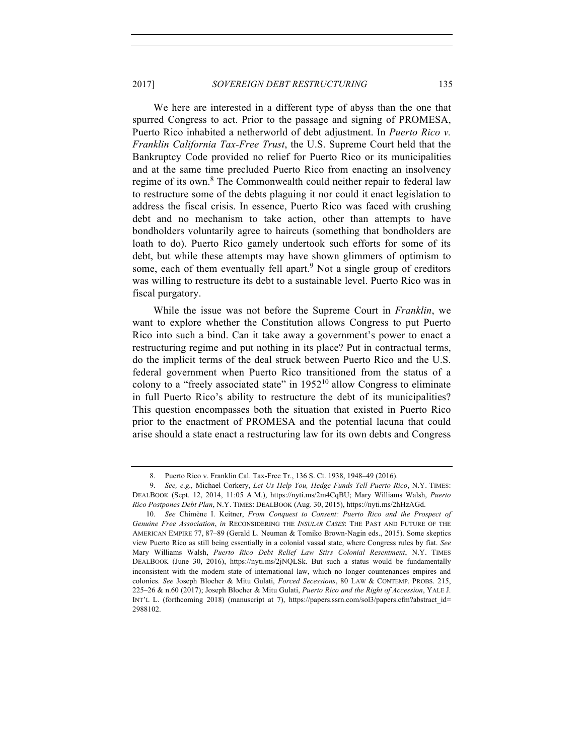#### 2017] *SOVEREIGN DEBT RESTRUCTURING* 135

We here are interested in a different type of abyss than the one that spurred Congress to act. Prior to the passage and signing of PROMESA, Puerto Rico inhabited a netherworld of debt adjustment. In *Puerto Rico v. Franklin California Tax-Free Trust*, the U.S. Supreme Court held that the Bankruptcy Code provided no relief for Puerto Rico or its municipalities and at the same time precluded Puerto Rico from enacting an insolvency regime of its own.<sup>8</sup> The Commonwealth could neither repair to federal law to restructure some of the debts plaguing it nor could it enact legislation to address the fiscal crisis. In essence, Puerto Rico was faced with crushing debt and no mechanism to take action, other than attempts to have bondholders voluntarily agree to haircuts (something that bondholders are loath to do). Puerto Rico gamely undertook such efforts for some of its debt, but while these attempts may have shown glimmers of optimism to some, each of them eventually fell apart.<sup>9</sup> Not a single group of creditors was willing to restructure its debt to a sustainable level. Puerto Rico was in fiscal purgatory.

While the issue was not before the Supreme Court in *Franklin*, we want to explore whether the Constitution allows Congress to put Puerto Rico into such a bind. Can it take away a government's power to enact a restructuring regime and put nothing in its place? Put in contractual terms, do the implicit terms of the deal struck between Puerto Rico and the U.S. federal government when Puerto Rico transitioned from the status of a colony to a "freely associated state" in  $1952^{10}$  allow Congress to eliminate in full Puerto Rico's ability to restructure the debt of its municipalities? This question encompasses both the situation that existed in Puerto Rico prior to the enactment of PROMESA and the potential lacuna that could arise should a state enact a restructuring law for its own debts and Congress

<sup>8.</sup> Puerto Rico v. Franklin Cal. Tax-Free Tr., 136 S. Ct. 1938, 1948–49 (2016).

<sup>9.</sup> *See, e.g.,* Michael Corkery, *Let Us Help You, Hedge Funds Tell Puerto Rico*, N.Y. TIMES: DEALBOOK (Sept. 12, 2014, 11:05 A.M.), https://nyti.ms/2m4CqBU; Mary Williams Walsh, *Puerto Rico Postpones Debt Plan*, N.Y. TIMES: DEALBOOK (Aug. 30, 2015), https://nyti.ms/2hHzAGd.

<sup>10.</sup> *See* Chimène I. Keitner, *From Conquest to Consent: Puerto Rico and the Prospect of Genuine Free Association*, *in* RECONSIDERING THE *INSULAR CASES*: THE PAST AND FUTURE OF THE AMERICAN EMPIRE 77, 87–89 (Gerald L. Neuman & Tomiko Brown-Nagin eds., 2015). Some skeptics view Puerto Rico as still being essentially in a colonial vassal state, where Congress rules by fiat. *See* Mary Williams Walsh, *Puerto Rico Debt Relief Law Stirs Colonial Resentment*, N.Y. TIMES DEALBOOK (June 30, 2016), https://nyti.ms/2jNQLSk. But such a status would be fundamentally inconsistent with the modern state of international law, which no longer countenances empires and colonies. *See* Joseph Blocher & Mitu Gulati, *Forced Secessions*, 80 LAW & CONTEMP. PROBS. 215, 225–26 & n.60 (2017); Joseph Blocher & Mitu Gulati, *Puerto Rico and the Right of Accession*, YALE J. INT'L L. (forthcoming 2018) (manuscript at 7), https://papers.ssrn.com/sol3/papers.cfm?abstract\_id= 2988102.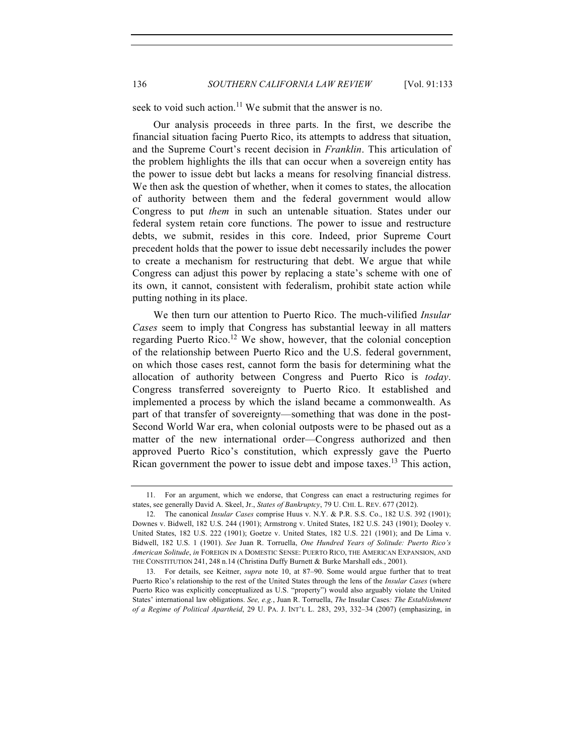136 *SOUTHERN CALIFORNIA LAW REVIEW* [Vol. 91:133

seek to void such action.<sup>11</sup> We submit that the answer is no.

Our analysis proceeds in three parts. In the first, we describe the financial situation facing Puerto Rico, its attempts to address that situation, and the Supreme Court's recent decision in *Franklin*. This articulation of the problem highlights the ills that can occur when a sovereign entity has the power to issue debt but lacks a means for resolving financial distress. We then ask the question of whether, when it comes to states, the allocation of authority between them and the federal government would allow Congress to put *them* in such an untenable situation. States under our federal system retain core functions. The power to issue and restructure debts, we submit, resides in this core. Indeed, prior Supreme Court precedent holds that the power to issue debt necessarily includes the power to create a mechanism for restructuring that debt. We argue that while Congress can adjust this power by replacing a state's scheme with one of its own, it cannot, consistent with federalism, prohibit state action while putting nothing in its place.

We then turn our attention to Puerto Rico. The much-vilified *Insular Cases* seem to imply that Congress has substantial leeway in all matters regarding Puerto Rico.<sup>12</sup> We show, however, that the colonial conception of the relationship between Puerto Rico and the U.S. federal government, on which those cases rest, cannot form the basis for determining what the allocation of authority between Congress and Puerto Rico is *today*. Congress transferred sovereignty to Puerto Rico. It established and implemented a process by which the island became a commonwealth. As part of that transfer of sovereignty—something that was done in the post-Second World War era, when colonial outposts were to be phased out as a matter of the new international order—Congress authorized and then approved Puerto Rico's constitution, which expressly gave the Puerto Rican government the power to issue debt and impose taxes.<sup>13</sup> This action,

<sup>11.</sup> For an argument, which we endorse, that Congress can enact a restructuring regimes for states, see generally David A. Skeel, Jr., *States of Bankruptcy*, 79 U. CHI. L. REV. 677 (2012).

<sup>12.</sup> The canonical *Insular Cases* comprise Huus v. N.Y. & P.R. S.S. Co., 182 U.S. 392 (1901); Downes v. Bidwell, 182 U.S. 244 (1901); Armstrong v. United States, 182 U.S. 243 (1901); Dooley v. United States, 182 U.S. 222 (1901); Goetze v. United States, 182 U.S. 221 (1901); and De Lima v. Bidwell, 182 U.S. 1 (1901). *See* Juan R. Torruella, *One Hundred Years of Solitude: Puerto Rico's American Solitude*, *in* FOREIGN IN A DOMESTIC SENSE: PUERTO RICO, THE AMERICAN EXPANSION, AND THE CONSTITUTION 241, 248 n.14 (Christina Duffy Burnett & Burke Marshall eds., 2001).

<sup>13.</sup> For details, see Keitner, *supra* note 10, at 87–90. Some would argue further that to treat Puerto Rico's relationship to the rest of the United States through the lens of the *Insular Cases* (where Puerto Rico was explicitly conceptualized as U.S. "property") would also arguably violate the United States' international law obligations. *See, e.g.*, Juan R. Torruella, *The* Insular Cases*: The Establishment of a Regime of Political Apartheid*, 29 U. PA. J. INT'L L. 283, 293, 332–34 (2007) (emphasizing, in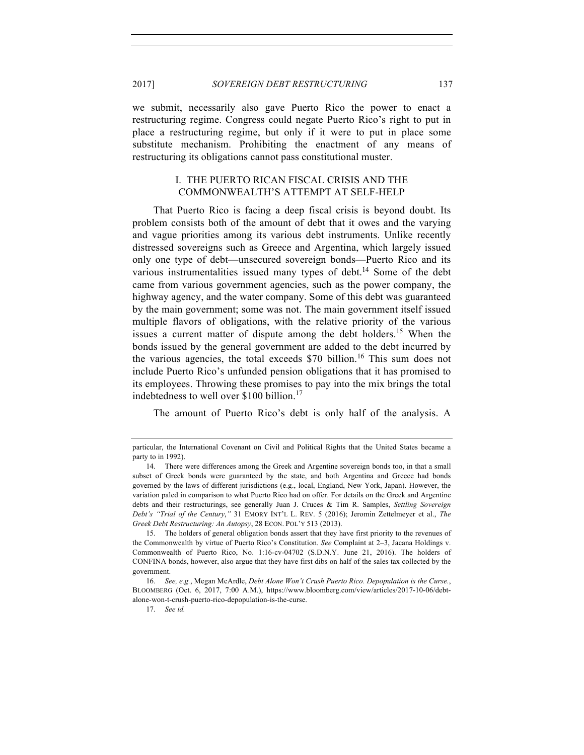2017] *SOVEREIGN DEBT RESTRUCTURING* 137

we submit, necessarily also gave Puerto Rico the power to enact a restructuring regime. Congress could negate Puerto Rico's right to put in place a restructuring regime, but only if it were to put in place some substitute mechanism. Prohibiting the enactment of any means of restructuring its obligations cannot pass constitutional muster.

## I. THE PUERTO RICAN FISCAL CRISIS AND THE COMMONWEALTH'S ATTEMPT AT SELF-HELP

That Puerto Rico is facing a deep fiscal crisis is beyond doubt. Its problem consists both of the amount of debt that it owes and the varying and vague priorities among its various debt instruments. Unlike recently distressed sovereigns such as Greece and Argentina, which largely issued only one type of debt—unsecured sovereign bonds—Puerto Rico and its various instrumentalities issued many types of debt.<sup>14</sup> Some of the debt came from various government agencies, such as the power company, the highway agency, and the water company. Some of this debt was guaranteed by the main government; some was not. The main government itself issued multiple flavors of obligations, with the relative priority of the various issues a current matter of dispute among the debt holders.<sup>15</sup> When the bonds issued by the general government are added to the debt incurred by the various agencies, the total exceeds \$70 billion.<sup>16</sup> This sum does not include Puerto Rico's unfunded pension obligations that it has promised to its employees. Throwing these promises to pay into the mix brings the total indebtedness to well over \$100 billion.<sup>17</sup>

The amount of Puerto Rico's debt is only half of the analysis. A

particular, the International Covenant on Civil and Political Rights that the United States became a party to in 1992).

<sup>14.</sup> There were differences among the Greek and Argentine sovereign bonds too, in that a small subset of Greek bonds were guaranteed by the state, and both Argentina and Greece had bonds governed by the laws of different jurisdictions (e.g., local, England, New York, Japan). However, the variation paled in comparison to what Puerto Rico had on offer. For details on the Greek and Argentine debts and their restructurings, see generally Juan J. Cruces & Tim R. Samples, *Settling Sovereign Debt's "Trial of the Century*,*"* 31 EMORY INT'L L. REV. 5 (2016); Jeromin Zettelmeyer et al., *The Greek Debt Restructuring: An Autopsy*, 28 ECON. POL'Y 513 (2013).

<sup>15.</sup> The holders of general obligation bonds assert that they have first priority to the revenues of the Commonwealth by virtue of Puerto Rico's Constitution. *See* Complaint at 2–3, Jacana Holdings v. Commonwealth of Puerto Rico, No. 1:16-cv-04702 (S.D.N.Y. June 21, 2016). The holders of CONFINA bonds, however, also argue that they have first dibs on half of the sales tax collected by the government.

<sup>16.</sup> *See, e.g.*, Megan McArdle, *Debt Alone Won't Crush Puerto Rico. Depopulation is the Curse.*, BLOOMBERG (Oct. 6, 2017, 7:00 A.M.), https://www.bloomberg.com/view/articles/2017-10-06/debtalone-won-t-crush-puerto-rico-depopulation-is-the-curse.

<sup>17.</sup> *See id.*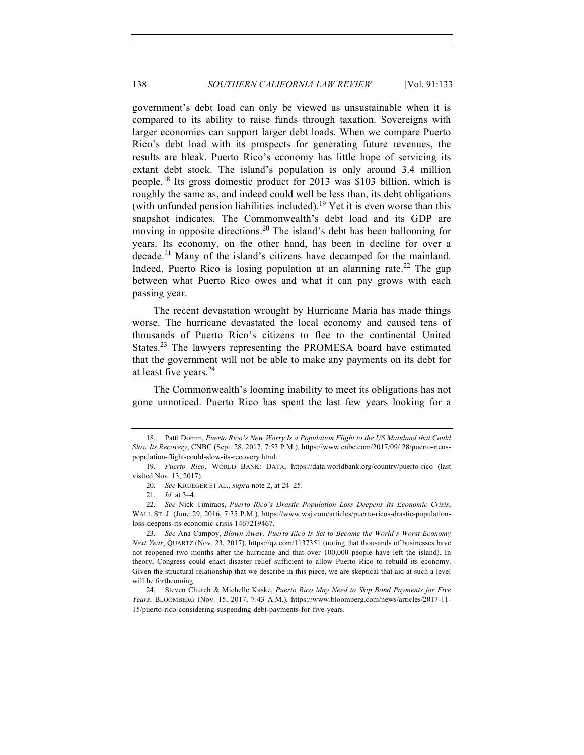government's debt load can only be viewed as unsustainable when it is compared to its ability to raise funds through taxation. Sovereigns with larger economies can support larger debt loads. When we compare Puerto Rico's debt load with its prospects for generating future revenues, the results are bleak. Puerto Rico's economy has little hope of servicing its extant debt stock. The island's population is only around 3.4 million people.<sup>18</sup> Its gross domestic product for 2013 was \$103 billion, which is roughly the same as, and indeed could well be less than, its debt obligations (with unfunded pension liabilities included).<sup>19</sup> Yet it is even worse than this snapshot indicates. The Commonwealth's debt load and its GDP are moving in opposite directions.<sup>20</sup> The island's debt has been ballooning for years. Its economy, on the other hand, has been in decline for over a decade.<sup>21</sup> Many of the island's citizens have decamped for the mainland. Indeed, Puerto Rico is losing population at an alarming rate.<sup>22</sup> The gap between what Puerto Rico owes and what it can pay grows with each passing year.

The recent devastation wrought by Hurricane Maria has made things worse. The hurricane devastated the local economy and caused tens of thousands of Puerto Rico's citizens to flee to the continental United States.<sup>23</sup> The lawyers representing the PROMESA board have estimated that the government will not be able to make any payments on its debt for at least five years.<sup>24</sup>

The Commonwealth's looming inability to meet its obligations has not gone unnoticed. Puerto Rico has spent the last few years looking for a

<sup>18.</sup> Patti Domm, *Puerto Rico's New Worry Is a Population Flight to the US Mainland that Could Slow Its Recovery*, CNBC (Sept. 28, 2017, 7:53 P.M.), https://www.cnbc.com/2017/09/ 28/puerto-ricospopulation-flight-could-slow-its-recovery.html.

<sup>19.</sup> *Puerto Rico*, WORLD BANK: DATA, https://data.worldbank.org/country/puerto-rico (last visited Nov. 13, 2017).

<sup>20.</sup> *See* KRUEGER ET AL., *supra* note 2, at 24–25.

<sup>21.</sup> *Id.* at 3–4.

<sup>22.</sup> *See* Nick Timiraos, *Puerto Rico's Drastic Population Loss Deepens Its Economic Crisis*, WALL ST. J. (June 29, 2016, 7:35 P.M.), https://www.wsj.com/articles/puerto-ricos-drastic-populationloss-deepens-its-economic-crisis-1467219467.

<sup>23.</sup> *See* Ana Campoy, *Blown Away: Puerto Rico Is Set to Become the World's Worst Economy Next Year*, QUARTZ (Nov. 23, 2017), https://qz.com/1137351 (noting that thousands of businesses have not reopened two months after the hurricane and that over 100,000 people have left the island). In theory, Congress could enact disaster relief sufficient to allow Puerto Rico to rebuild its economy. Given the structural relationship that we describe in this piece, we are skeptical that aid at such a level will be forthcoming.

<sup>24.</sup> Steven Church & Michelle Kaske, *Puerto Rico May Need to Skip Bond Payments for Five Years*, BLOOMBERG (Nov. 15, 2017, 7:43 A.M.), https://www.bloomberg.com/news/articles/2017-11- 15/puerto-rico-considering-suspending-debt-payments-for-five-years.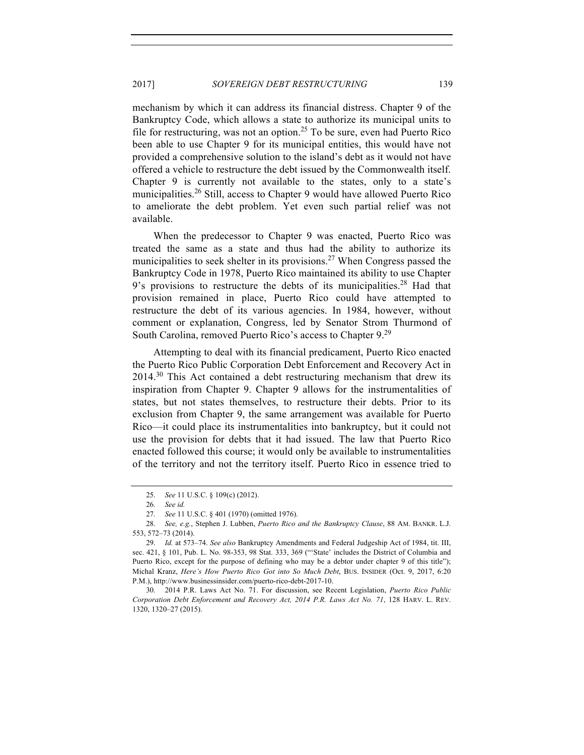mechanism by which it can address its financial distress. Chapter 9 of the Bankruptcy Code, which allows a state to authorize its municipal units to file for restructuring, was not an option.<sup>25</sup> To be sure, even had Puerto Rico been able to use Chapter 9 for its municipal entities, this would have not provided a comprehensive solution to the island's debt as it would not have offered a vehicle to restructure the debt issued by the Commonwealth itself. Chapter 9 is currently not available to the states, only to a state's municipalities.<sup>26</sup> Still, access to Chapter 9 would have allowed Puerto Rico to ameliorate the debt problem. Yet even such partial relief was not available.

When the predecessor to Chapter 9 was enacted, Puerto Rico was treated the same as a state and thus had the ability to authorize its municipalities to seek shelter in its provisions.<sup>27</sup> When Congress passed the Bankruptcy Code in 1978, Puerto Rico maintained its ability to use Chapter 9's provisions to restructure the debts of its municipalities.<sup>28</sup> Had that provision remained in place, Puerto Rico could have attempted to restructure the debt of its various agencies. In 1984, however, without comment or explanation, Congress, led by Senator Strom Thurmond of South Carolina, removed Puerto Rico's access to Chapter 9.29

Attempting to deal with its financial predicament, Puerto Rico enacted the Puerto Rico Public Corporation Debt Enforcement and Recovery Act in  $2014<sup>30</sup>$  This Act contained a debt restructuring mechanism that drew its inspiration from Chapter 9. Chapter 9 allows for the instrumentalities of states, but not states themselves, to restructure their debts. Prior to its exclusion from Chapter 9, the same arrangement was available for Puerto Rico—it could place its instrumentalities into bankruptcy, but it could not use the provision for debts that it had issued. The law that Puerto Rico enacted followed this course; it would only be available to instrumentalities of the territory and not the territory itself. Puerto Rico in essence tried to

<sup>25.</sup> *See* 11 U.S.C. § 109(c) (2012).

<sup>26.</sup> *See id.*

<sup>27.</sup> *See* 11 U.S.C. § 401 (1970) (omitted 1976).

<sup>28.</sup> *See, e.g.*, Stephen J. Lubben, *Puerto Rico and the Bankruptcy Clause*, 88 AM. BANKR. L.J. 553, 572–73 (2014).

<sup>29.</sup> *Id.* at 573–74. *See also* Bankruptcy Amendments and Federal Judgeship Act of 1984, tit. III, sec. 421, § 101, Pub. L. No. 98-353, 98 Stat. 333, 369 ("'State' includes the District of Columbia and Puerto Rico, except for the purpose of defining who may be a debtor under chapter 9 of this title"); Michal Kranz, *Here's How Puerto Rico Got into So Much Debt*, BUS. INSIDER (Oct. 9, 2017, 6:20 P.M.), http://www.businessinsider.com/puerto-rico-debt-2017-10.

<sup>30.</sup> 2014 P.R. Laws Act No. 71. For discussion, see Recent Legislation, *Puerto Rico Public Corporation Debt Enforcement and Recovery Act, 2014 P.R. Laws Act No. 71*, 128 HARV. L. REV. 1320, 1320–27 (2015).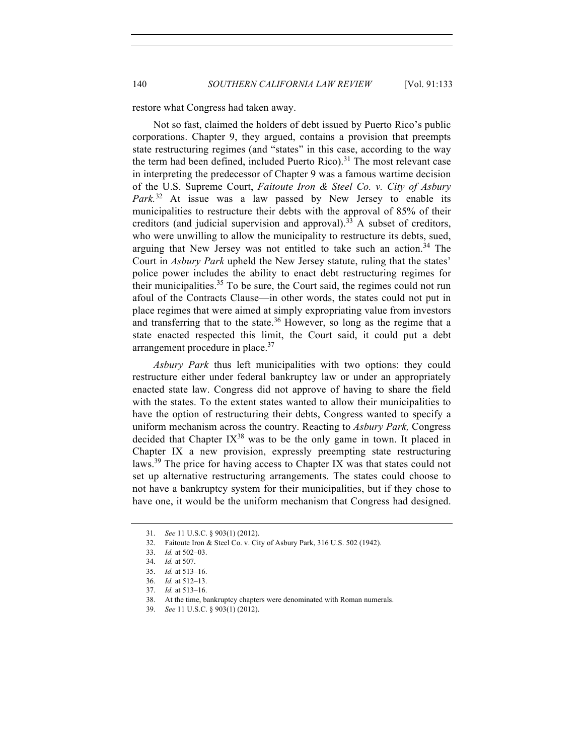restore what Congress had taken away.

Not so fast, claimed the holders of debt issued by Puerto Rico's public corporations. Chapter 9, they argued, contains a provision that preempts state restructuring regimes (and "states" in this case, according to the way the term had been defined, included Puerto Rico).<sup>31</sup> The most relevant case in interpreting the predecessor of Chapter 9 was a famous wartime decision of the U.S. Supreme Court, *Faitoute Iron & Steel Co. v. City of Asbury Park.*<sup>32</sup> At issue was a law passed by New Jersey to enable its municipalities to restructure their debts with the approval of 85% of their creditors (and judicial supervision and approval).<sup>33</sup> A subset of creditors, who were unwilling to allow the municipality to restructure its debts, sued, arguing that New Jersey was not entitled to take such an action.<sup>34</sup> The Court in *Asbury Park* upheld the New Jersey statute, ruling that the states' police power includes the ability to enact debt restructuring regimes for their municipalities.<sup>35</sup> To be sure, the Court said, the regimes could not run afoul of the Contracts Clause—in other words, the states could not put in place regimes that were aimed at simply expropriating value from investors and transferring that to the state.<sup>36</sup> However, so long as the regime that a state enacted respected this limit, the Court said, it could put a debt arrangement procedure in place.<sup>37</sup>

*Asbury Park* thus left municipalities with two options: they could restructure either under federal bankruptcy law or under an appropriately enacted state law. Congress did not approve of having to share the field with the states. To the extent states wanted to allow their municipalities to have the option of restructuring their debts, Congress wanted to specify a uniform mechanism across the country. Reacting to *Asbury Park,* Congress decided that Chapter  $IX^{38}$  was to be the only game in town. It placed in Chapter IX a new provision, expressly preempting state restructuring laws.<sup>39</sup> The price for having access to Chapter IX was that states could not set up alternative restructuring arrangements. The states could choose to not have a bankruptcy system for their municipalities, but if they chose to have one, it would be the uniform mechanism that Congress had designed.

<sup>31.</sup> *See* 11 U.S.C. § 903(1) (2012).

<sup>32.</sup> Faitoute Iron & Steel Co. v. City of Asbury Park, 316 U.S. 502 (1942).

<sup>33.</sup> *Id.* at 502–03.

<sup>34.</sup> *Id.* at 507.

<sup>35.</sup> *Id.* at 513–16.

<sup>36.</sup> *Id.* at 512–13.

<sup>37.</sup> *Id.* at 513–16.

<sup>38.</sup> At the time, bankruptcy chapters were denominated with Roman numerals.

<sup>39.</sup> *See* 11 U.S.C. § 903(1) (2012).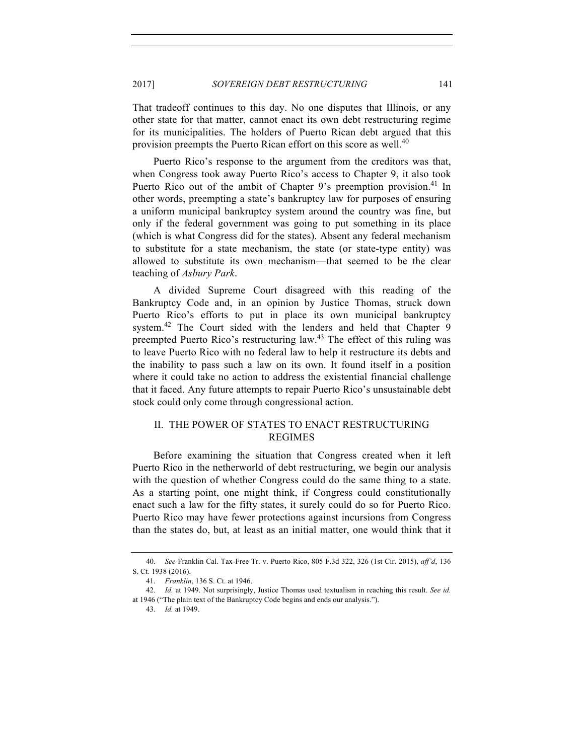That tradeoff continues to this day. No one disputes that Illinois, or any other state for that matter, cannot enact its own debt restructuring regime for its municipalities. The holders of Puerto Rican debt argued that this provision preempts the Puerto Rican effort on this score as well.<sup>40</sup>

Puerto Rico's response to the argument from the creditors was that, when Congress took away Puerto Rico's access to Chapter 9, it also took Puerto Rico out of the ambit of Chapter 9's preemption provision.<sup>41</sup> In other words, preempting a state's bankruptcy law for purposes of ensuring a uniform municipal bankruptcy system around the country was fine, but only if the federal government was going to put something in its place (which is what Congress did for the states). Absent any federal mechanism to substitute for a state mechanism, the state (or state-type entity) was allowed to substitute its own mechanism—that seemed to be the clear teaching of *Asbury Park*.

A divided Supreme Court disagreed with this reading of the Bankruptcy Code and, in an opinion by Justice Thomas, struck down Puerto Rico's efforts to put in place its own municipal bankruptcy system.<sup>42</sup> The Court sided with the lenders and held that Chapter 9 preempted Puerto Rico's restructuring  $law<sup>43</sup>$ . The effect of this ruling was to leave Puerto Rico with no federal law to help it restructure its debts and the inability to pass such a law on its own. It found itself in a position where it could take no action to address the existential financial challenge that it faced. Any future attempts to repair Puerto Rico's unsustainable debt stock could only come through congressional action.

## II. THE POWER OF STATES TO ENACT RESTRUCTURING REGIMES

Before examining the situation that Congress created when it left Puerto Rico in the netherworld of debt restructuring, we begin our analysis with the question of whether Congress could do the same thing to a state. As a starting point, one might think, if Congress could constitutionally enact such a law for the fifty states, it surely could do so for Puerto Rico. Puerto Rico may have fewer protections against incursions from Congress than the states do, but, at least as an initial matter, one would think that it

<sup>40.</sup> *See* Franklin Cal. Tax-Free Tr. v. Puerto Rico, 805 F.3d 322, 326 (1st Cir. 2015), *aff'd*, 136 S. Ct. 1938 (2016).

<sup>41.</sup> *Franklin*, 136 S. Ct. at 1946.

<sup>42.</sup> *Id.* at 1949. Not surprisingly, Justice Thomas used textualism in reaching this result. *See id.* at 1946 ("The plain text of the Bankruptcy Code begins and ends our analysis.").

<sup>43.</sup> *Id.* at 1949.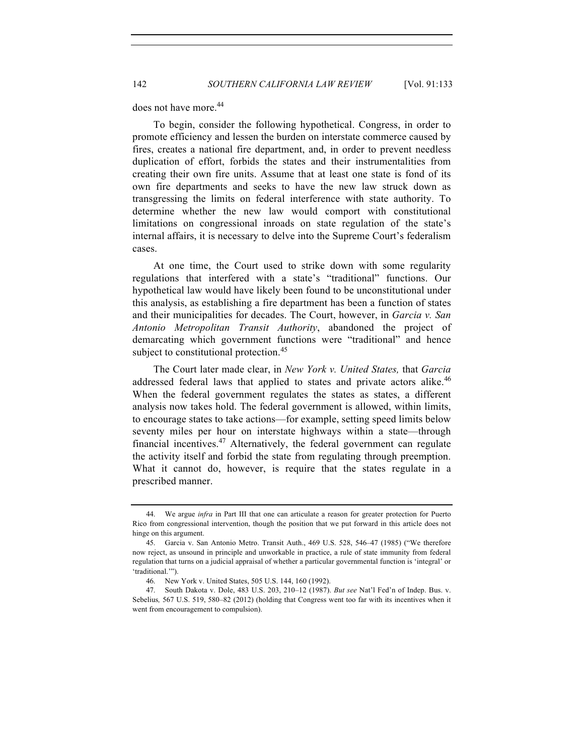does not have more.<sup>44</sup>

To begin, consider the following hypothetical. Congress, in order to promote efficiency and lessen the burden on interstate commerce caused by fires, creates a national fire department, and, in order to prevent needless duplication of effort, forbids the states and their instrumentalities from creating their own fire units. Assume that at least one state is fond of its own fire departments and seeks to have the new law struck down as transgressing the limits on federal interference with state authority. To determine whether the new law would comport with constitutional limitations on congressional inroads on state regulation of the state's internal affairs, it is necessary to delve into the Supreme Court's federalism cases.

At one time, the Court used to strike down with some regularity regulations that interfered with a state's "traditional" functions. Our hypothetical law would have likely been found to be unconstitutional under this analysis, as establishing a fire department has been a function of states and their municipalities for decades. The Court, however, in *Garcia v. San Antonio Metropolitan Transit Authority*, abandoned the project of demarcating which government functions were "traditional" and hence subject to constitutional protection.<sup>45</sup>

The Court later made clear, in *New York v. United States,* that *Garcia*  addressed federal laws that applied to states and private actors alike.<sup>46</sup> When the federal government regulates the states as states, a different analysis now takes hold. The federal government is allowed, within limits, to encourage states to take actions—for example, setting speed limits below seventy miles per hour on interstate highways within a state—through financial incentives. $47$  Alternatively, the federal government can regulate the activity itself and forbid the state from regulating through preemption. What it cannot do, however, is require that the states regulate in a prescribed manner.

<sup>44.</sup> We argue *infra* in Part III that one can articulate a reason for greater protection for Puerto Rico from congressional intervention, though the position that we put forward in this article does not hinge on this argument.

<sup>45.</sup> Garcia v. San Antonio Metro. Transit Auth., 469 U.S. 528, 546–47 (1985) ("We therefore now reject, as unsound in principle and unworkable in practice, a rule of state immunity from federal regulation that turns on a judicial appraisal of whether a particular governmental function is 'integral' or 'traditional.'").

<sup>46.</sup> New York v. United States, 505 U.S. 144, 160 (1992).

<sup>47.</sup> South Dakota v. Dole, 483 U.S. 203, 210–12 (1987). *But see* Nat'l Fed'n of Indep. Bus. v. Sebelius*,* 567 U.S. 519, 580–82 (2012) (holding that Congress went too far with its incentives when it went from encouragement to compulsion).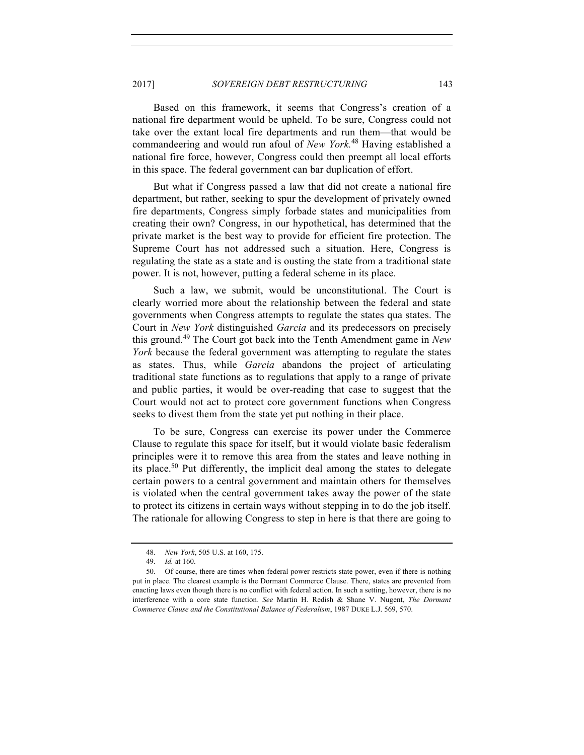Based on this framework, it seems that Congress's creation of a national fire department would be upheld. To be sure, Congress could not take over the extant local fire departments and run them—that would be commandeering and would run afoul of *New York.*<sup>48</sup> Having established a national fire force, however, Congress could then preempt all local efforts in this space. The federal government can bar duplication of effort.

But what if Congress passed a law that did not create a national fire department, but rather, seeking to spur the development of privately owned fire departments, Congress simply forbade states and municipalities from creating their own? Congress, in our hypothetical, has determined that the private market is the best way to provide for efficient fire protection. The Supreme Court has not addressed such a situation. Here, Congress is regulating the state as a state and is ousting the state from a traditional state power. It is not, however, putting a federal scheme in its place.

Such a law, we submit, would be unconstitutional. The Court is clearly worried more about the relationship between the federal and state governments when Congress attempts to regulate the states qua states. The Court in *New York* distinguished *Garcia* and its predecessors on precisely this ground.<sup>49</sup> The Court got back into the Tenth Amendment game in *New York* because the federal government was attempting to regulate the states as states. Thus, while *Garcia* abandons the project of articulating traditional state functions as to regulations that apply to a range of private and public parties, it would be over-reading that case to suggest that the Court would not act to protect core government functions when Congress seeks to divest them from the state yet put nothing in their place.

To be sure, Congress can exercise its power under the Commerce Clause to regulate this space for itself, but it would violate basic federalism principles were it to remove this area from the states and leave nothing in its place.<sup>50</sup> Put differently, the implicit deal among the states to delegate certain powers to a central government and maintain others for themselves is violated when the central government takes away the power of the state to protect its citizens in certain ways without stepping in to do the job itself. The rationale for allowing Congress to step in here is that there are going to

<sup>48.</sup> *New York*, 505 U.S. at 160, 175.

<sup>49.</sup> *Id.* at 160.

<sup>50.</sup> Of course, there are times when federal power restricts state power, even if there is nothing put in place. The clearest example is the Dormant Commerce Clause. There, states are prevented from enacting laws even though there is no conflict with federal action. In such a setting, however, there is no interference with a core state function. *See* Martin H. Redish & Shane V. Nugent, *The Dormant Commerce Clause and the Constitutional Balance of Federalism*, 1987 DUKE L.J. 569, 570.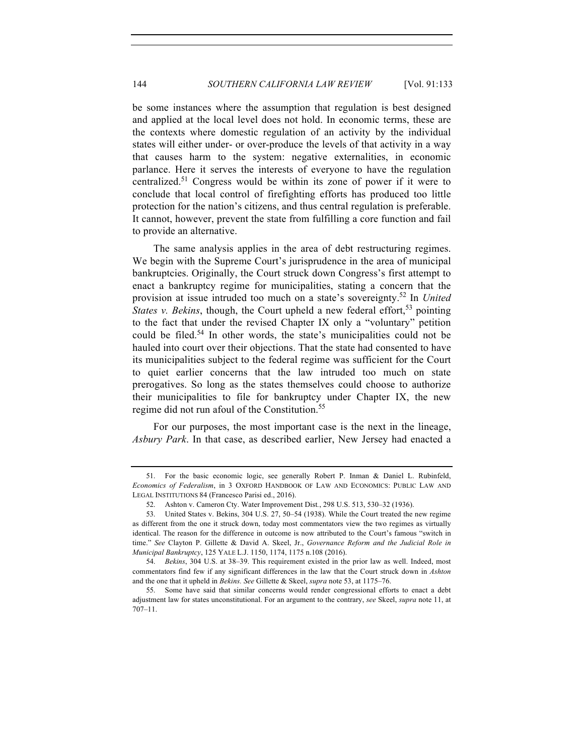be some instances where the assumption that regulation is best designed and applied at the local level does not hold. In economic terms, these are the contexts where domestic regulation of an activity by the individual states will either under- or over-produce the levels of that activity in a way that causes harm to the system: negative externalities, in economic parlance. Here it serves the interests of everyone to have the regulation centralized.<sup>51</sup> Congress would be within its zone of power if it were to conclude that local control of firefighting efforts has produced too little protection for the nation's citizens, and thus central regulation is preferable. It cannot, however, prevent the state from fulfilling a core function and fail to provide an alternative.

The same analysis applies in the area of debt restructuring regimes. We begin with the Supreme Court's jurisprudence in the area of municipal bankruptcies. Originally, the Court struck down Congress's first attempt to enact a bankruptcy regime for municipalities, stating a concern that the provision at issue intruded too much on a state's sovereignty.52 In *United States v. Bekins*, though, the Court upheld a new federal effort,<sup>53</sup> pointing to the fact that under the revised Chapter IX only a "voluntary" petition could be filed.<sup>54</sup> In other words, the state's municipalities could not be hauled into court over their objections. That the state had consented to have its municipalities subject to the federal regime was sufficient for the Court to quiet earlier concerns that the law intruded too much on state prerogatives. So long as the states themselves could choose to authorize their municipalities to file for bankruptcy under Chapter IX, the new regime did not run afoul of the Constitution.<sup>55</sup>

For our purposes, the most important case is the next in the lineage, *Asbury Park*. In that case, as described earlier, New Jersey had enacted a

<sup>51.</sup> For the basic economic logic, see generally Robert P. Inman & Daniel L. Rubinfeld, *Economics of Federalism*, in 3 OXFORD HANDBOOK OF LAW AND ECONOMICS: PUBLIC LAW AND LEGAL INSTITUTIONS 84 (Francesco Parisi ed., 2016).

<sup>52.</sup> Ashton v. Cameron Cty. Water Improvement Dist*.*, 298 U.S. 513, 530–32 (1936).

<sup>53.</sup> United States v. Bekins, 304 U.S. 27, 50–54 (1938). While the Court treated the new regime as different from the one it struck down, today most commentators view the two regimes as virtually identical. The reason for the difference in outcome is now attributed to the Court's famous "switch in time." *See* Clayton P. Gillette & David A. Skeel, Jr., *Governance Reform and the Judicial Role in Municipal Bankruptcy*, 125 YALE L.J. 1150, 1174, 1175 n.108 (2016).

<sup>54.</sup> *Bekins*, 304 U.S. at 38–39. This requirement existed in the prior law as well. Indeed, most commentators find few if any significant differences in the law that the Court struck down in *Ashton*  and the one that it upheld in *Bekins. See* Gillette & Skeel, *supra* note 53, at 1175–76.

<sup>55.</sup> Some have said that similar concerns would render congressional efforts to enact a debt adjustment law for states unconstitutional. For an argument to the contrary, *see* Skeel, *supra* note 11, at 707–11.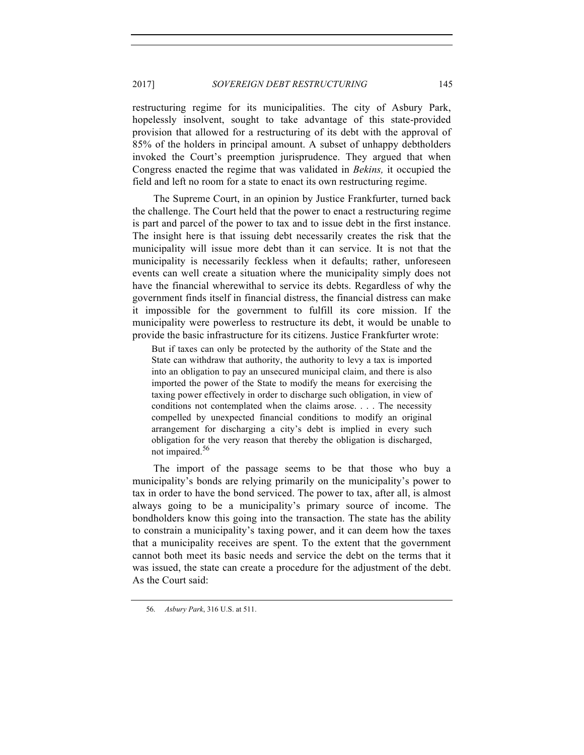#### 2017] *SOVEREIGN DEBT RESTRUCTURING* 145

restructuring regime for its municipalities. The city of Asbury Park, hopelessly insolvent, sought to take advantage of this state-provided provision that allowed for a restructuring of its debt with the approval of 85% of the holders in principal amount. A subset of unhappy debtholders invoked the Court's preemption jurisprudence. They argued that when Congress enacted the regime that was validated in *Bekins,* it occupied the field and left no room for a state to enact its own restructuring regime.

The Supreme Court, in an opinion by Justice Frankfurter, turned back the challenge. The Court held that the power to enact a restructuring regime is part and parcel of the power to tax and to issue debt in the first instance. The insight here is that issuing debt necessarily creates the risk that the municipality will issue more debt than it can service. It is not that the municipality is necessarily feckless when it defaults; rather, unforeseen events can well create a situation where the municipality simply does not have the financial wherewithal to service its debts. Regardless of why the government finds itself in financial distress, the financial distress can make it impossible for the government to fulfill its core mission. If the municipality were powerless to restructure its debt, it would be unable to provide the basic infrastructure for its citizens. Justice Frankfurter wrote:

But if taxes can only be protected by the authority of the State and the State can withdraw that authority, the authority to levy a tax is imported into an obligation to pay an unsecured municipal claim, and there is also imported the power of the State to modify the means for exercising the taxing power effectively in order to discharge such obligation, in view of conditions not contemplated when the claims arose. . . . The necessity compelled by unexpected financial conditions to modify an original arrangement for discharging a city's debt is implied in every such obligation for the very reason that thereby the obligation is discharged, not impaired.<sup>56</sup>

The import of the passage seems to be that those who buy a municipality's bonds are relying primarily on the municipality's power to tax in order to have the bond serviced. The power to tax, after all, is almost always going to be a municipality's primary source of income. The bondholders know this going into the transaction. The state has the ability to constrain a municipality's taxing power, and it can deem how the taxes that a municipality receives are spent. To the extent that the government cannot both meet its basic needs and service the debt on the terms that it was issued, the state can create a procedure for the adjustment of the debt. As the Court said:

<sup>56.</sup> *Asbury Park*, 316 U.S. at 511.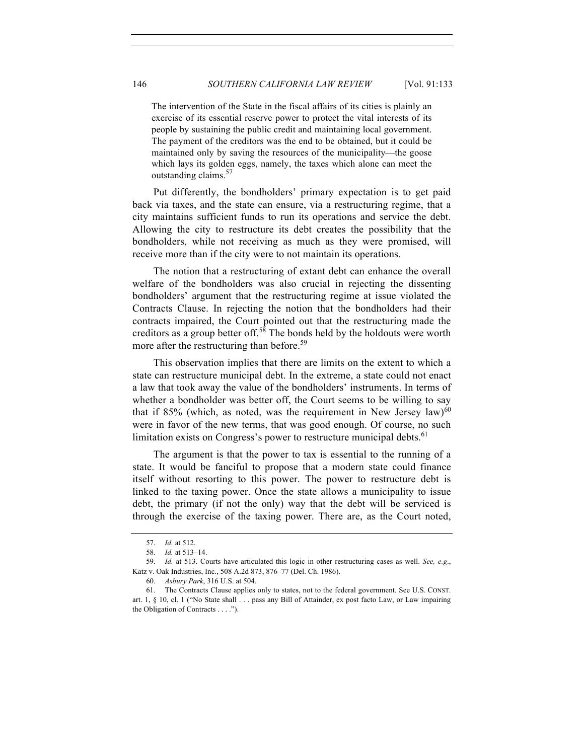The intervention of the State in the fiscal affairs of its cities is plainly an exercise of its essential reserve power to protect the vital interests of its people by sustaining the public credit and maintaining local government. The payment of the creditors was the end to be obtained, but it could be maintained only by saving the resources of the municipality—the goose which lays its golden eggs, namely, the taxes which alone can meet the outstanding claims.<sup>57</sup>

Put differently, the bondholders' primary expectation is to get paid back via taxes, and the state can ensure, via a restructuring regime, that a city maintains sufficient funds to run its operations and service the debt. Allowing the city to restructure its debt creates the possibility that the bondholders, while not receiving as much as they were promised, will receive more than if the city were to not maintain its operations.

The notion that a restructuring of extant debt can enhance the overall welfare of the bondholders was also crucial in rejecting the dissenting bondholders' argument that the restructuring regime at issue violated the Contracts Clause. In rejecting the notion that the bondholders had their contracts impaired, the Court pointed out that the restructuring made the creditors as a group better off.<sup>58</sup> The bonds held by the holdouts were worth more after the restructuring than before.<sup>59</sup>

This observation implies that there are limits on the extent to which a state can restructure municipal debt. In the extreme, a state could not enact a law that took away the value of the bondholders' instruments. In terms of whether a bondholder was better off, the Court seems to be willing to say that if 85% (which, as noted, was the requirement in New Jersey law)<sup>60</sup> were in favor of the new terms, that was good enough. Of course, no such limitation exists on Congress's power to restructure municipal debts.<sup>61</sup>

The argument is that the power to tax is essential to the running of a state. It would be fanciful to propose that a modern state could finance itself without resorting to this power. The power to restructure debt is linked to the taxing power. Once the state allows a municipality to issue debt, the primary (if not the only) way that the debt will be serviced is through the exercise of the taxing power. There are, as the Court noted,

<sup>57.</sup> *Id.* at 512.

<sup>58.</sup> *Id.* at 513–14.

<sup>59.</sup> *Id.* at 513. Courts have articulated this logic in other restructuring cases as well. *See, e.g*., Katz v. Oak Industries, Inc., 508 A.2d 873, 876–77 (Del. Ch. 1986).

<sup>60.</sup> *Asbury Park*, 316 U.S. at 504.

<sup>61.</sup> The Contracts Clause applies only to states, not to the federal government. See U.S. CONST. art. 1, § 10, cl. 1 ("No State shall . . . pass any Bill of Attainder, ex post facto Law, or Law impairing the Obligation of Contracts . . . .").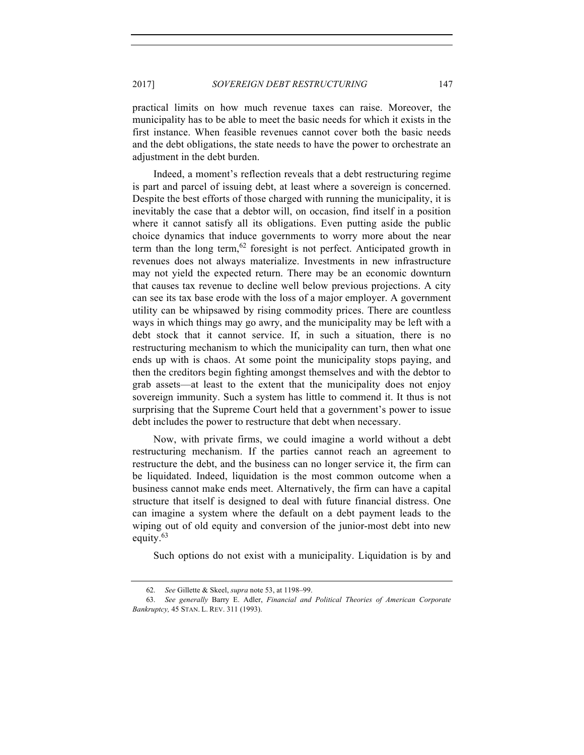practical limits on how much revenue taxes can raise. Moreover, the municipality has to be able to meet the basic needs for which it exists in the first instance. When feasible revenues cannot cover both the basic needs and the debt obligations, the state needs to have the power to orchestrate an adjustment in the debt burden.

Indeed, a moment's reflection reveals that a debt restructuring regime is part and parcel of issuing debt, at least where a sovereign is concerned. Despite the best efforts of those charged with running the municipality, it is inevitably the case that a debtor will, on occasion, find itself in a position where it cannot satisfy all its obligations. Even putting aside the public choice dynamics that induce governments to worry more about the near term than the long term,<sup>62</sup> foresight is not perfect. Anticipated growth in revenues does not always materialize. Investments in new infrastructure may not yield the expected return. There may be an economic downturn that causes tax revenue to decline well below previous projections. A city can see its tax base erode with the loss of a major employer. A government utility can be whipsawed by rising commodity prices. There are countless ways in which things may go awry, and the municipality may be left with a debt stock that it cannot service. If, in such a situation, there is no restructuring mechanism to which the municipality can turn, then what one ends up with is chaos. At some point the municipality stops paying, and then the creditors begin fighting amongst themselves and with the debtor to grab assets—at least to the extent that the municipality does not enjoy sovereign immunity. Such a system has little to commend it. It thus is not surprising that the Supreme Court held that a government's power to issue debt includes the power to restructure that debt when necessary.

Now, with private firms, we could imagine a world without a debt restructuring mechanism. If the parties cannot reach an agreement to restructure the debt, and the business can no longer service it, the firm can be liquidated. Indeed, liquidation is the most common outcome when a business cannot make ends meet. Alternatively, the firm can have a capital structure that itself is designed to deal with future financial distress. One can imagine a system where the default on a debt payment leads to the wiping out of old equity and conversion of the junior-most debt into new equity. $63$ 

Such options do not exist with a municipality. Liquidation is by and

<sup>62.</sup> *See* Gillette & Skeel, *supra* note 53, at 1198–99.

<sup>63.</sup> *See generally* Barry E. Adler, *Financial and Political Theories of American Corporate Bankruptcy,* 45 STAN. L. REV. 311 (1993).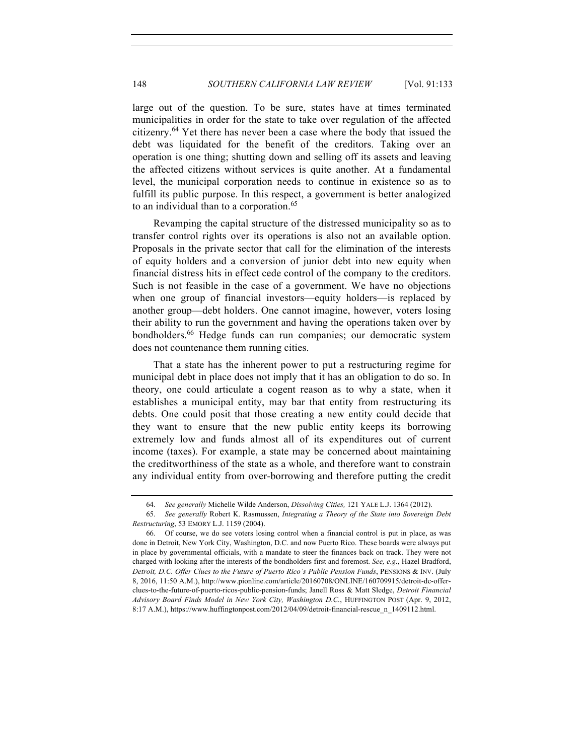large out of the question. To be sure, states have at times terminated municipalities in order for the state to take over regulation of the affected citizenry.<sup>64</sup> Yet there has never been a case where the body that issued the debt was liquidated for the benefit of the creditors. Taking over an operation is one thing; shutting down and selling off its assets and leaving the affected citizens without services is quite another. At a fundamental level, the municipal corporation needs to continue in existence so as to fulfill its public purpose. In this respect, a government is better analogized to an individual than to a corporation.<sup>65</sup>

Revamping the capital structure of the distressed municipality so as to transfer control rights over its operations is also not an available option. Proposals in the private sector that call for the elimination of the interests of equity holders and a conversion of junior debt into new equity when financial distress hits in effect cede control of the company to the creditors. Such is not feasible in the case of a government. We have no objections when one group of financial investors—equity holders—is replaced by another group—debt holders. One cannot imagine, however, voters losing their ability to run the government and having the operations taken over by bondholders.<sup>66</sup> Hedge funds can run companies; our democratic system does not countenance them running cities.

That a state has the inherent power to put a restructuring regime for municipal debt in place does not imply that it has an obligation to do so. In theory, one could articulate a cogent reason as to why a state, when it establishes a municipal entity, may bar that entity from restructuring its debts. One could posit that those creating a new entity could decide that they want to ensure that the new public entity keeps its borrowing extremely low and funds almost all of its expenditures out of current income (taxes). For example, a state may be concerned about maintaining the creditworthiness of the state as a whole, and therefore want to constrain any individual entity from over-borrowing and therefore putting the credit

<sup>64.</sup> *See generally* Michelle Wilde Anderson, *Dissolving Cities,* 121 YALE L.J. 1364 (2012).

<sup>65.</sup> *See generally* Robert K. Rasmussen, *Integrating a Theory of the State into Sovereign Debt Restructuring*, 53 EMORY L.J. 1159 (2004).

<sup>66.</sup> Of course, we do see voters losing control when a financial control is put in place, as was done in Detroit, New York City, Washington, D.C. and now Puerto Rico. These boards were always put in place by governmental officials, with a mandate to steer the finances back on track. They were not charged with looking after the interests of the bondholders first and foremost. *See, e.g.*, Hazel Bradford, *Detroit, D.C. Offer Clues to the Future of Puerto Rico's Public Pension Funds*, PENSIONS & INV. (July 8, 2016, 11:50 A.M.), http://www.pionline.com/article/20160708/ONLINE/160709915/detroit-dc-offerclues-to-the-future-of-puerto-ricos-public-pension-funds; Janell Ross & Matt Sledge, *Detroit Financial Advisory Board Finds Model in New York City, Washington D.C.*, HUFFINGTON POST (Apr. 9, 2012, 8:17 A.M.), https://www.huffingtonpost.com/2012/04/09/detroit-financial-rescue\_n\_1409112.html.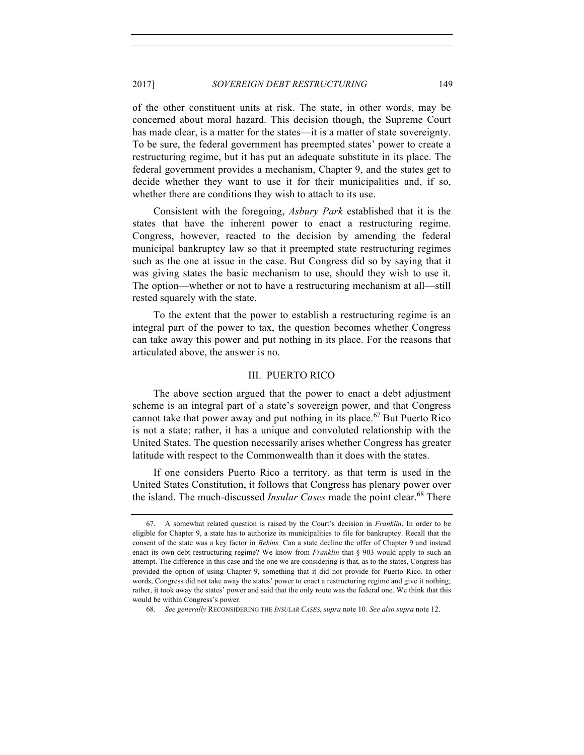of the other constituent units at risk. The state, in other words, may be concerned about moral hazard. This decision though, the Supreme Court has made clear, is a matter for the states—it is a matter of state sovereignty. To be sure, the federal government has preempted states' power to create a restructuring regime, but it has put an adequate substitute in its place. The federal government provides a mechanism, Chapter 9, and the states get to decide whether they want to use it for their municipalities and, if so, whether there are conditions they wish to attach to its use.

Consistent with the foregoing, *Asbury Park* established that it is the states that have the inherent power to enact a restructuring regime. Congress, however, reacted to the decision by amending the federal municipal bankruptcy law so that it preempted state restructuring regimes such as the one at issue in the case. But Congress did so by saying that it was giving states the basic mechanism to use, should they wish to use it. The option—whether or not to have a restructuring mechanism at all—still rested squarely with the state.

To the extent that the power to establish a restructuring regime is an integral part of the power to tax, the question becomes whether Congress can take away this power and put nothing in its place. For the reasons that articulated above, the answer is no.

#### III. PUERTO RICO

The above section argued that the power to enact a debt adjustment scheme is an integral part of a state's sovereign power, and that Congress cannot take that power away and put nothing in its place.<sup>67</sup> But Puerto Rico is not a state; rather, it has a unique and convoluted relationship with the United States. The question necessarily arises whether Congress has greater latitude with respect to the Commonwealth than it does with the states.

If one considers Puerto Rico a territory, as that term is used in the United States Constitution, it follows that Congress has plenary power over the island. The much-discussed *Insular Cases* made the point clear.<sup>68</sup> There

<sup>67.</sup> A somewhat related question is raised by the Court's decision in *Franklin*. In order to be eligible for Chapter 9, a state has to authorize its municipalities to file for bankruptcy. Recall that the consent of the state was a key factor in *Bekins.* Can a state decline the offer of Chapter 9 and instead enact its own debt restructuring regime? We know from *Franklin* that § 903 would apply to such an attempt. The difference in this case and the one we are considering is that, as to the states, Congress has provided the option of using Chapter 9, something that it did not provide for Puerto Rico. In other words, Congress did not take away the states' power to enact a restructuring regime and give it nothing; rather, it took away the states' power and said that the only route was the federal one. We think that this would be within Congress's power.

<sup>68.</sup> *See generally* RECONSIDERING THE *INSULAR CASES*, *supra* note 10. *See also supra* note 12.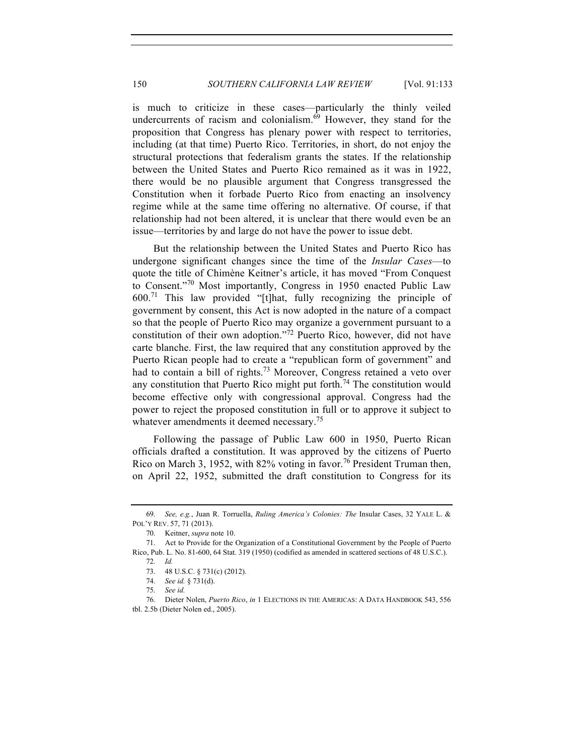is much to criticize in these cases—particularly the thinly veiled undercurrents of racism and colonialism. $69$  However, they stand for the proposition that Congress has plenary power with respect to territories, including (at that time) Puerto Rico. Territories, in short, do not enjoy the structural protections that federalism grants the states. If the relationship between the United States and Puerto Rico remained as it was in 1922, there would be no plausible argument that Congress transgressed the Constitution when it forbade Puerto Rico from enacting an insolvency regime while at the same time offering no alternative. Of course, if that relationship had not been altered, it is unclear that there would even be an issue—territories by and large do not have the power to issue debt.

But the relationship between the United States and Puerto Rico has undergone significant changes since the time of the *Insular Cases*—to quote the title of Chimène Keitner's article, it has moved "From Conquest to Consent."<sup>70</sup> Most importantly, Congress in 1950 enacted Public Law  $600<sup>71</sup>$  This law provided "[t]hat, fully recognizing the principle of government by consent, this Act is now adopted in the nature of a compact so that the people of Puerto Rico may organize a government pursuant to a constitution of their own adoption."<sup>72</sup> Puerto Rico, however, did not have carte blanche. First, the law required that any constitution approved by the Puerto Rican people had to create a "republican form of government" and had to contain a bill of rights.<sup>73</sup> Moreover, Congress retained a veto over any constitution that Puerto Rico might put forth.<sup>74</sup> The constitution would become effective only with congressional approval. Congress had the power to reject the proposed constitution in full or to approve it subject to whatever amendments it deemed necessary.<sup>75</sup>

Following the passage of Public Law 600 in 1950, Puerto Rican officials drafted a constitution. It was approved by the citizens of Puerto Rico on March 3, 1952, with 82% voting in favor.<sup>76</sup> President Truman then, on April 22, 1952, submitted the draft constitution to Congress for its

<sup>69.</sup> *See, e.g.*, Juan R. Torruella, *Ruling America's Colonies: The* Insular Cases, 32 YALE L. & POL'Y REV. 57, 71 (2013).

<sup>70.</sup> Keitner, *supra* note 10.

<sup>71.</sup> Act to Provide for the Organization of a Constitutional Government by the People of Puerto Rico, Pub. L. No. 81-600, 64 Stat. 319 (1950) (codified as amended in scattered sections of 48 U.S.C.). 72. *Id.*

<sup>73.</sup> 48 U.S.C. § 731(c) (2012).

<sup>74.</sup> *See id.* § 731(d).

<sup>75.</sup> *See id.*

<sup>76.</sup> Dieter Nolen, *Puerto Rico*, *in* 1 ELECTIONS IN THE AMERICAS: A DATA HANDBOOK 543, 556 tbl. 2.5b (Dieter Nolen ed., 2005).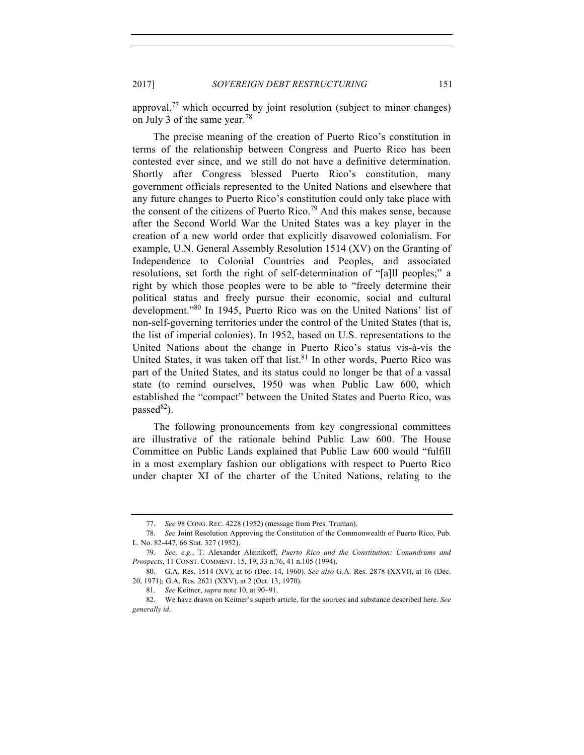approval,<sup>77</sup> which occurred by joint resolution (subject to minor changes) on July 3 of the same year.<sup>78</sup>

The precise meaning of the creation of Puerto Rico's constitution in terms of the relationship between Congress and Puerto Rico has been contested ever since, and we still do not have a definitive determination. Shortly after Congress blessed Puerto Rico's constitution, many government officials represented to the United Nations and elsewhere that any future changes to Puerto Rico's constitution could only take place with the consent of the citizens of Puerto Rico.<sup>79</sup> And this makes sense, because after the Second World War the United States was a key player in the creation of a new world order that explicitly disavowed colonialism. For example, U.N. General Assembly Resolution 1514 (XV) on the Granting of Independence to Colonial Countries and Peoples, and associated resolutions, set forth the right of self-determination of "[a]ll peoples;" a right by which those peoples were to be able to "freely determine their political status and freely pursue their economic, social and cultural development."<sup>80</sup> In 1945, Puerto Rico was on the United Nations' list of non-self-governing territories under the control of the United States (that is, the list of imperial colonies). In 1952, based on U.S. representations to the United Nations about the change in Puerto Rico's status vis-à-vis the United States, it was taken off that list.<sup>81</sup> In other words, Puerto Rico was part of the United States, and its status could no longer be that of a vassal state (to remind ourselves, 1950 was when Public Law 600, which established the "compact" between the United States and Puerto Rico, was passed $82$ ).

The following pronouncements from key congressional committees are illustrative of the rationale behind Public Law 600. The House Committee on Public Lands explained that Public Law 600 would "fulfill in a most exemplary fashion our obligations with respect to Puerto Rico under chapter XI of the charter of the United Nations, relating to the

<sup>77.</sup> *See* 98 CONG. REC. 4228 (1952) (message from Pres. Truman).

<sup>78.</sup> *See* Joint Resolution Approving the Constitution of the Commonwealth of Puerto Rico, Pub. L. No. 82-447, 66 Stat. 327 (1952).

<sup>79.</sup> *See, e.g.*, T. Alexander Aleinikoff, *Puerto Rico and the Constitution: Conundrums and Prospects*, 11 CONST. COMMENT. 15, 19, 33 n.76, 41 n.105 (1994).

<sup>80.</sup> G.A. Res. 1514 (XV), at 66 (Dec. 14, 1960). *See also* G.A. Res. 2878 (XXVI), at 16 (Dec. 20, 1971); G.A. Res. 2621 (XXV), at 2 (Oct. 13, 1970).

<sup>81.</sup> *See* Keitner, *supra* note 10, at 90–91.

<sup>82.</sup> We have drawn on Keitner's superb article, for the sources and substance described here. *See generally id*.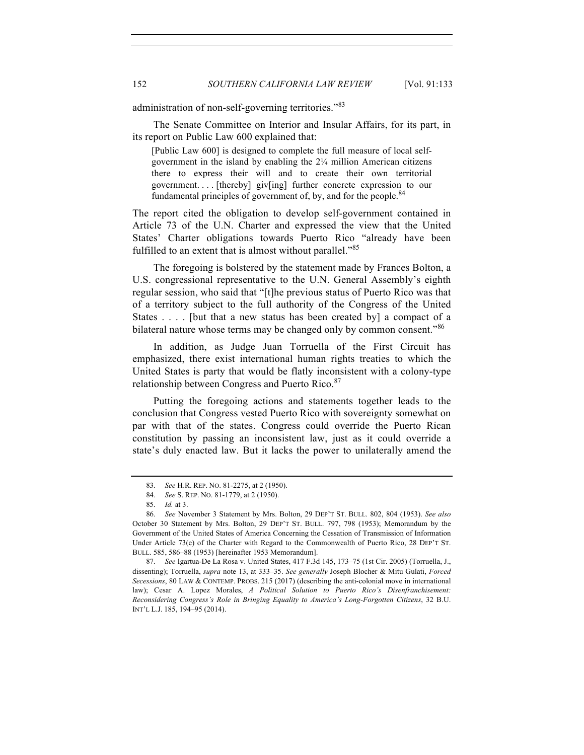administration of non-self-governing territories."<sup>83</sup>

The Senate Committee on Interior and Insular Affairs, for its part, in its report on Public Law 600 explained that:

[Public Law 600] is designed to complete the full measure of local selfgovernment in the island by enabling the 2¼ million American citizens there to express their will and to create their own territorial government. . . . [thereby] giv[ing] further concrete expression to our fundamental principles of government of, by, and for the people.<sup>84</sup>

The report cited the obligation to develop self-government contained in Article 73 of the U.N. Charter and expressed the view that the United States' Charter obligations towards Puerto Rico "already have been fulfilled to an extent that is almost without parallel."<sup>85</sup>

The foregoing is bolstered by the statement made by Frances Bolton, a U.S. congressional representative to the U.N. General Assembly's eighth regular session, who said that "[t]he previous status of Puerto Rico was that of a territory subject to the full authority of the Congress of the United States . . . . [but that a new status has been created by] a compact of a bilateral nature whose terms may be changed only by common consent."<sup>86</sup>

In addition, as Judge Juan Torruella of the First Circuit has emphasized, there exist international human rights treaties to which the United States is party that would be flatly inconsistent with a colony-type relationship between Congress and Puerto Rico.<sup>87</sup>

Putting the foregoing actions and statements together leads to the conclusion that Congress vested Puerto Rico with sovereignty somewhat on par with that of the states. Congress could override the Puerto Rican constitution by passing an inconsistent law, just as it could override a state's duly enacted law. But it lacks the power to unilaterally amend the

<sup>83.</sup> *See* H.R. REP. NO. 81-2275, at 2 (1950).

<sup>84.</sup> *See* S. REP. NO. 81-1779, at 2 (1950).

<sup>85.</sup> *Id.* at 3.

<sup>86.</sup> *See* November 3 Statement by Mrs. Bolton, 29 DEP'T ST. BULL. 802, 804 (1953). *See also*  October 30 Statement by Mrs. Bolton, 29 DEP'T ST. BULL. 797, 798 (1953); Memorandum by the Government of the United States of America Concerning the Cessation of Transmission of Information Under Article 73(e) of the Charter with Regard to the Commonwealth of Puerto Rico, 28 DEP'T ST. BULL. 585, 586–88 (1953) [hereinafter 1953 Memorandum].

<sup>87.</sup> *See* Igartua-De La Rosa v. United States, 417 F.3d 145, 173–75 (1st Cir. 2005) (Torruella, J., dissenting); Torruella, *supra* note 13, at 333–35. *See generally* Joseph Blocher & Mitu Gulati, *Forced Secessions*, 80 LAW & CONTEMP. PROBS. 215 (2017) (describing the anti-colonial move in international law); Cesar A. Lopez Morales, *A Political Solution to Puerto Rico's Disenfranchisement: Reconsidering Congress's Role in Bringing Equality to America's Long-Forgotten Citizens*, 32 B.U. INT'L L.J. 185, 194–95 (2014).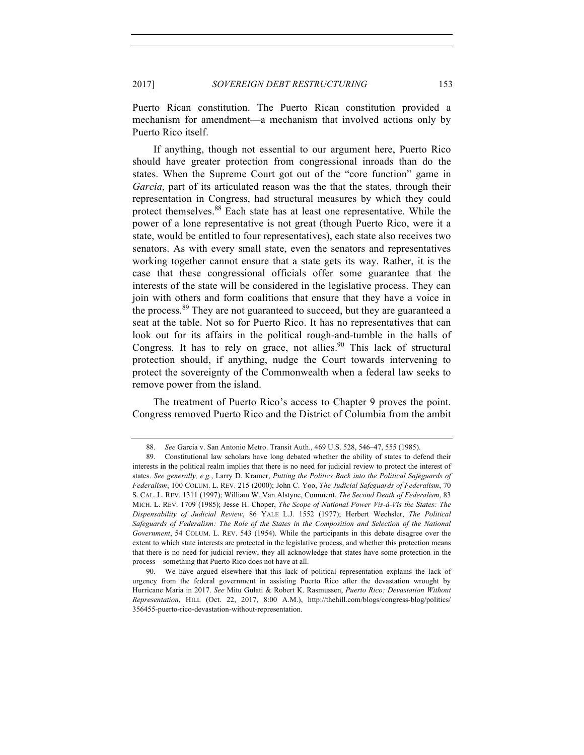Puerto Rican constitution. The Puerto Rican constitution provided a mechanism for amendment—a mechanism that involved actions only by Puerto Rico itself.

If anything, though not essential to our argument here, Puerto Rico should have greater protection from congressional inroads than do the states. When the Supreme Court got out of the "core function" game in *Garcia*, part of its articulated reason was the that the states, through their representation in Congress, had structural measures by which they could protect themselves.<sup>88</sup> Each state has at least one representative. While the power of a lone representative is not great (though Puerto Rico, were it a state, would be entitled to four representatives), each state also receives two senators. As with every small state, even the senators and representatives working together cannot ensure that a state gets its way. Rather, it is the case that these congressional officials offer some guarantee that the interests of the state will be considered in the legislative process. They can join with others and form coalitions that ensure that they have a voice in the process.<sup>89</sup> They are not guaranteed to succeed, but they are guaranteed a seat at the table. Not so for Puerto Rico. It has no representatives that can look out for its affairs in the political rough-and-tumble in the halls of Congress. It has to rely on grace, not allies.<sup>90</sup> This lack of structural protection should, if anything, nudge the Court towards intervening to protect the sovereignty of the Commonwealth when a federal law seeks to remove power from the island.

The treatment of Puerto Rico's access to Chapter 9 proves the point. Congress removed Puerto Rico and the District of Columbia from the ambit

<sup>88.</sup> *See* Garcia v. San Antonio Metro. Transit Auth., 469 U.S. 528, 546–47, 555 (1985).

<sup>89.</sup> Constitutional law scholars have long debated whether the ability of states to defend their interests in the political realm implies that there is no need for judicial review to protect the interest of states. *See generally, e.g.*, Larry D. Kramer, *Putting the Politics Back into the Political Safeguards of Federalism*, 100 COLUM. L. REV. 215 (2000); John C. Yoo, *The Judicial Safeguards of Federalism*, 70 S. CAL. L. REV. 1311 (1997); William W. Van Alstyne, Comment, *The Second Death of Federalism*, 83 MICH. L. REV. 1709 (1985); Jesse H. Choper, *The Scope of National Power Vis-à-Vis the States: The Dispensability of Judicial Review*, 86 YALE L.J. 1552 (1977); Herbert Wechsler, *The Political Safeguards of Federalism: The Role of the States in the Composition and Selection of the National Government*, 54 COLUM. L. REV. 543 (1954). While the participants in this debate disagree over the extent to which state interests are protected in the legislative process, and whether this protection means that there is no need for judicial review, they all acknowledge that states have some protection in the process—something that Puerto Rico does not have at all.

<sup>90.</sup> We have argued elsewhere that this lack of political representation explains the lack of urgency from the federal government in assisting Puerto Rico after the devastation wrought by Hurricane Maria in 2017. *See* Mitu Gulati & Robert K. Rasmussen, *Puerto Rico: Devastation Without Representation*, HILL (Oct. 22, 2017, 8:00 A.M.), http://thehill.com/blogs/congress-blog/politics/ 356455-puerto-rico-devastation-without-representation.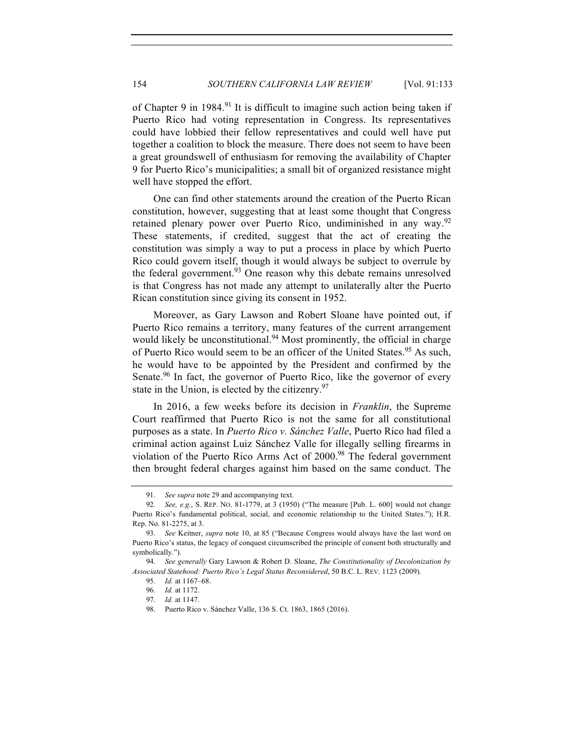of Chapter 9 in  $1984<sup>91</sup>$  It is difficult to imagine such action being taken if Puerto Rico had voting representation in Congress. Its representatives could have lobbied their fellow representatives and could well have put together a coalition to block the measure. There does not seem to have been a great groundswell of enthusiasm for removing the availability of Chapter 9 for Puerto Rico's municipalities; a small bit of organized resistance might well have stopped the effort.

One can find other statements around the creation of the Puerto Rican constitution, however, suggesting that at least some thought that Congress retained plenary power over Puerto Rico, undiminished in any way.<sup>92</sup> These statements, if credited, suggest that the act of creating the constitution was simply a way to put a process in place by which Puerto Rico could govern itself, though it would always be subject to overrule by the federal government.<sup>93</sup> One reason why this debate remains unresolved is that Congress has not made any attempt to unilaterally alter the Puerto Rican constitution since giving its consent in 1952.

Moreover, as Gary Lawson and Robert Sloane have pointed out, if Puerto Rico remains a territory, many features of the current arrangement would likely be unconstitutional.<sup>94</sup> Most prominently, the official in charge of Puerto Rico would seem to be an officer of the United States.<sup>95</sup> As such, he would have to be appointed by the President and confirmed by the Senate.<sup>96</sup> In fact, the governor of Puerto Rico, like the governor of every state in the Union, is elected by the citizenry.<sup>97</sup>

In 2016, a few weeks before its decision in *Franklin*, the Supreme Court reaffirmed that Puerto Rico is not the same for all constitutional purposes as a state. In *Puerto Rico v. Sánchez Valle*, Puerto Rico had filed a criminal action against Luiz Sánchez Valle for illegally selling firearms in violation of the Puerto Rico Arms Act of 2000.<sup>98</sup> The federal government then brought federal charges against him based on the same conduct. The

<sup>91.</sup> *See supra* note 29 and accompanying text.

<sup>92.</sup> *See, e.g.*, S. REP. NO. 81-1779, at 3 (1950) ("The measure [Pub. L. 600] would not change Puerto Rico's fundamental political, social, and economic relationship to the United States."); H.R. Rep. No. 81-2275, at 3.

<sup>93.</sup> *See* Keitner, *supra* note 10, at 85 ("Because Congress would always have the last word on Puerto Rico's status, the legacy of conquest circumscribed the principle of consent both structurally and symbolically.").

<sup>94.</sup> *See generally* Gary Lawson & Robert D. Sloane, *The Constitutionality of Decolonization by Associated Statehood: Puerto Rico's Legal Status Reconsidered*, 50 B.C. L. REV. 1123 (2009).

<sup>95.</sup> *Id.* at 1167–68.

<sup>96.</sup> *Id.* at 1172.

<sup>97.</sup> *Id.* at 1147.

<sup>98.</sup> Puerto Rico v. Sánchez Valle, 136 S. Ct. 1863, 1865 (2016).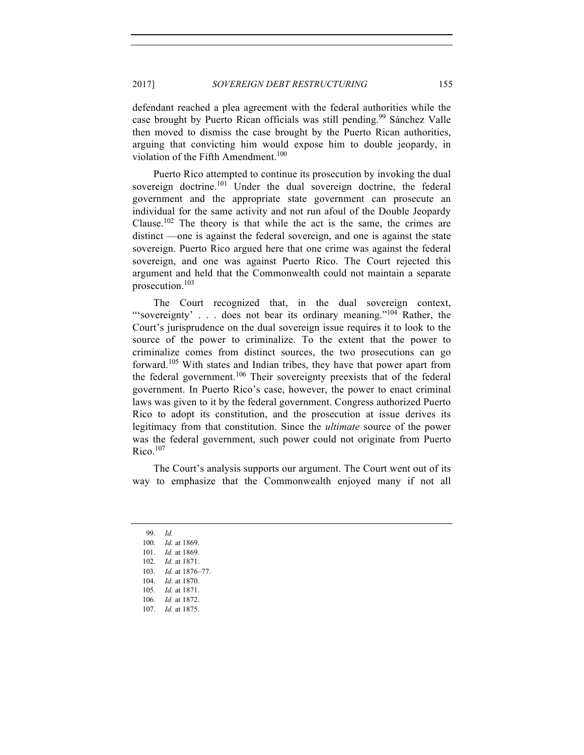defendant reached a plea agreement with the federal authorities while the case brought by Puerto Rican officials was still pending.<sup>99</sup> Sánchez Valle then moved to dismiss the case brought by the Puerto Rican authorities, arguing that convicting him would expose him to double jeopardy, in violation of the Fifth Amendment.<sup>100</sup>

Puerto Rico attempted to continue its prosecution by invoking the dual sovereign doctrine.<sup>101</sup> Under the dual sovereign doctrine, the federal government and the appropriate state government can prosecute an individual for the same activity and not run afoul of the Double Jeopardy Clause.<sup>102</sup> The theory is that while the act is the same, the crimes are distinct —one is against the federal sovereign, and one is against the state sovereign. Puerto Rico argued here that one crime was against the federal sovereign, and one was against Puerto Rico. The Court rejected this argument and held that the Commonwealth could not maintain a separate prosecution.<sup>103</sup>

The Court recognized that, in the dual sovereign context, "'sovereignty' . . . does not bear its ordinary meaning."<sup>104</sup> Rather, the Court's jurisprudence on the dual sovereign issue requires it to look to the source of the power to criminalize. To the extent that the power to criminalize comes from distinct sources, the two prosecutions can go forward.<sup>105</sup> With states and Indian tribes, they have that power apart from the federal government.<sup>106</sup> Their sovereignty preexists that of the federal government. In Puerto Rico's case, however, the power to enact criminal laws was given to it by the federal government. Congress authorized Puerto Rico to adopt its constitution, and the prosecution at issue derives its legitimacy from that constitution. Since the *ultimate* source of the power was the federal government, such power could not originate from Puerto  $Rico.<sup>107</sup>$ 

The Court's analysis supports our argument. The Court went out of its way to emphasize that the Commonwealth enjoyed many if not all

| 99.              | Id.                      |
|------------------|--------------------------|
| 100.             | <i>Id.</i> at 1869.      |
| 101              | <i>Id.</i> at 1869.      |
| 102              | <i>Id.</i> at 1871.      |
| 103 <sub>1</sub> | <i>Id.</i> at 1876–77.   |
| 104.             | <i>Id.</i> at 1870.      |
| 105.             | <i>Id.</i> at 1871.      |
| 106.             | <i>Id.</i> at 1872.      |
|                  | 107. <i>Id.</i> at 1875. |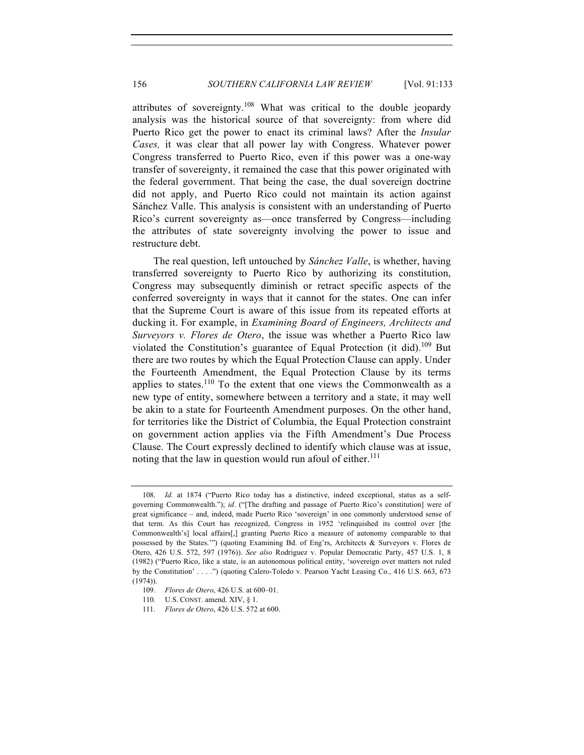attributes of sovereignty.<sup>108</sup> What was critical to the double jeopardy analysis was the historical source of that sovereignty: from where did Puerto Rico get the power to enact its criminal laws? After the *Insular Cases,* it was clear that all power lay with Congress. Whatever power Congress transferred to Puerto Rico, even if this power was a one-way transfer of sovereignty, it remained the case that this power originated with the federal government. That being the case, the dual sovereign doctrine did not apply, and Puerto Rico could not maintain its action against Sánchez Valle. This analysis is consistent with an understanding of Puerto Rico's current sovereignty as—once transferred by Congress—including the attributes of state sovereignty involving the power to issue and restructure debt.

The real question, left untouched by *Sánchez Valle*, is whether, having transferred sovereignty to Puerto Rico by authorizing its constitution, Congress may subsequently diminish or retract specific aspects of the conferred sovereignty in ways that it cannot for the states. One can infer that the Supreme Court is aware of this issue from its repeated efforts at ducking it. For example, in *Examining Board of Engineers, Architects and Surveyors v. Flores de Otero*, the issue was whether a Puerto Rico law violated the Constitution's guarantee of Equal Protection (it did).<sup>109</sup> But there are two routes by which the Equal Protection Clause can apply. Under the Fourteenth Amendment, the Equal Protection Clause by its terms applies to states.<sup>110</sup> To the extent that one views the Commonwealth as a new type of entity, somewhere between a territory and a state, it may well be akin to a state for Fourteenth Amendment purposes. On the other hand, for territories like the District of Columbia, the Equal Protection constraint on government action applies via the Fifth Amendment's Due Process Clause. The Court expressly declined to identify which clause was at issue, noting that the law in question would run afoul of either.<sup>111</sup>

<sup>108.</sup> *Id.* at 1874 ("Puerto Rico today has a distinctive, indeed exceptional, status as a selfgoverning Commonwealth."); *id*. ("[The drafting and passage of Puerto Rico's constitution] were of great significance – and, indeed, made Puerto Rico 'sovereign' in one commonly understood sense of that term. As this Court has recognized, Congress in 1952 'relinquished its control over [the Commonwealth's] local affairs[,] granting Puerto Rico a measure of autonomy comparable to that possessed by the States.'") (quoting Examining Bd. of Eng'rs, Architects & Surveyors v. Flores de Otero, 426 U.S. 572, 597 (1976)). *See also* Rodriguez v. Popular Democratic Party, 457 U.S. 1, 8 (1982) ("Puerto Rico, like a state, is an autonomous political entity, 'sovereign over matters not ruled by the Constitution' . . . .") (quoting Calero-Toledo v. Pearson Yacht Leasing Co., 416 U.S. 663, 673 (1974)).

<sup>109.</sup> *Flores de Otero*, 426 U.S. at 600–01.

<sup>110.</sup> U.S. CONST. amend. XIV, § 1.

<sup>111.</sup> *Flores de Otero*, 426 U.S. 572 at 600.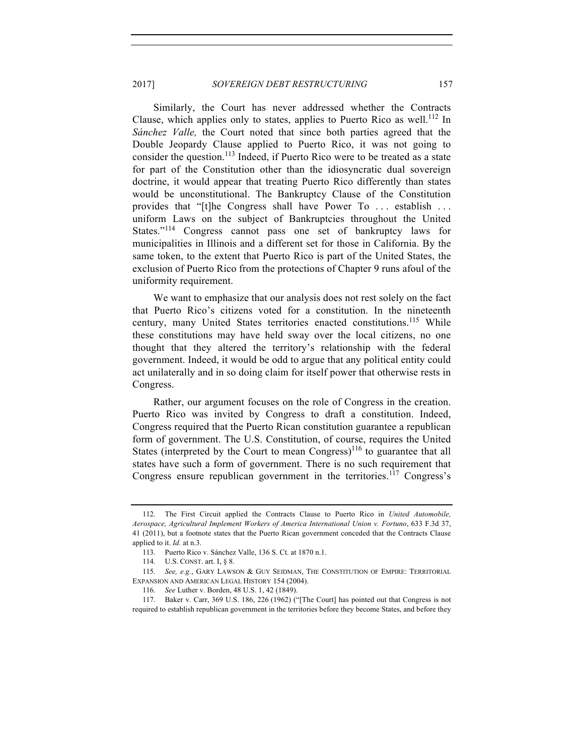#### 2017] *SOVEREIGN DEBT RESTRUCTURING* 157

Similarly, the Court has never addressed whether the Contracts Clause, which applies only to states, applies to Puerto Rico as well.<sup>112</sup> In *Sánchez Valle,* the Court noted that since both parties agreed that the Double Jeopardy Clause applied to Puerto Rico, it was not going to consider the question.<sup>113</sup> Indeed, if Puerto Rico were to be treated as a state for part of the Constitution other than the idiosyncratic dual sovereign doctrine, it would appear that treating Puerto Rico differently than states would be unconstitutional. The Bankruptcy Clause of the Constitution provides that "[t]he Congress shall have Power To ... establish ... uniform Laws on the subject of Bankruptcies throughout the United States."<sup>114</sup> Congress cannot pass one set of bankruptcy laws for municipalities in Illinois and a different set for those in California. By the same token, to the extent that Puerto Rico is part of the United States, the exclusion of Puerto Rico from the protections of Chapter 9 runs afoul of the uniformity requirement.

We want to emphasize that our analysis does not rest solely on the fact that Puerto Rico's citizens voted for a constitution. In the nineteenth century, many United States territories enacted constitutions.<sup>115</sup> While these constitutions may have held sway over the local citizens, no one thought that they altered the territory's relationship with the federal government. Indeed, it would be odd to argue that any political entity could act unilaterally and in so doing claim for itself power that otherwise rests in Congress.

Rather, our argument focuses on the role of Congress in the creation. Puerto Rico was invited by Congress to draft a constitution. Indeed, Congress required that the Puerto Rican constitution guarantee a republican form of government. The U.S. Constitution, of course, requires the United States (interpreted by the Court to mean Congress)<sup>116</sup> to guarantee that all states have such a form of government. There is no such requirement that Congress ensure republican government in the territories.<sup>117</sup> Congress's

<sup>112.</sup> The First Circuit applied the Contracts Clause to Puerto Rico in *United Automobile, Aerospace, Agricultural Implement Workers of America International Union v. Fortuno*, 633 F.3d 37, 41 (2011), but a footnote states that the Puerto Rican government conceded that the Contracts Clause applied to it. *Id.* at n.3.

<sup>113.</sup> Puerto Rico v. Sánchez Valle, 136 S. Ct. at 1870 n.1.

<sup>114.</sup> U.S. CONST. art. I, § 8.

<sup>115.</sup> *See, e.g.*, GARY LAWSON & GUY SEIDMAN, THE CONSTITUTION OF EMPIRE: TERRITORIAL EXPANSION AND AMERICAN LEGAL HISTORY 154 (2004).

<sup>116.</sup> *See* Luther v. Borden, 48 U.S. 1, 42 (1849).

<sup>117.</sup> Baker v. Carr, 369 U.S. 186, 226 (1962) ("[The Court] has pointed out that Congress is not required to establish republican government in the territories before they become States, and before they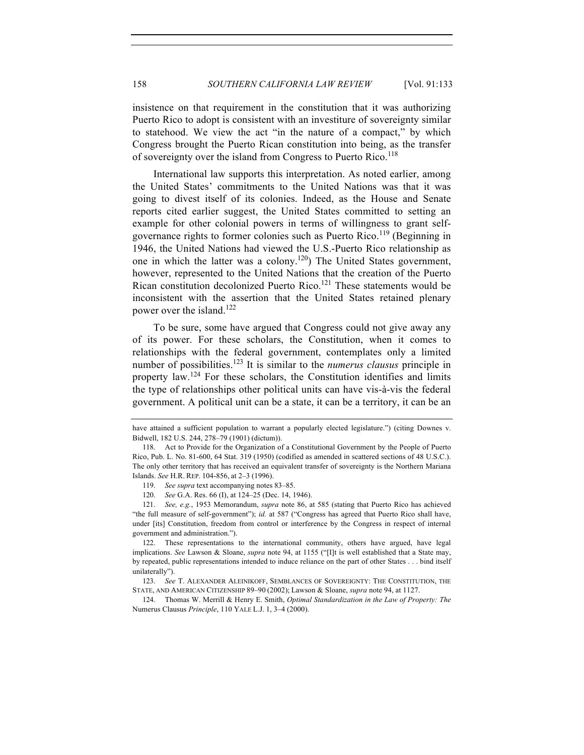insistence on that requirement in the constitution that it was authorizing Puerto Rico to adopt is consistent with an investiture of sovereignty similar to statehood. We view the act "in the nature of a compact," by which Congress brought the Puerto Rican constitution into being, as the transfer of sovereignty over the island from Congress to Puerto Rico.<sup>118</sup>

International law supports this interpretation. As noted earlier, among the United States' commitments to the United Nations was that it was going to divest itself of its colonies. Indeed, as the House and Senate reports cited earlier suggest, the United States committed to setting an example for other colonial powers in terms of willingness to grant selfgovernance rights to former colonies such as Puerto Rico.<sup>119</sup> (Beginning in 1946, the United Nations had viewed the U.S.-Puerto Rico relationship as one in which the latter was a colony.<sup>120</sup>) The United States government, however, represented to the United Nations that the creation of the Puerto Rican constitution decolonized Puerto Rico.<sup>121</sup> These statements would be inconsistent with the assertion that the United States retained plenary power over the island.<sup>122</sup>

To be sure, some have argued that Congress could not give away any of its power. For these scholars, the Constitution, when it comes to relationships with the federal government, contemplates only a limited number of possibilities.<sup>123</sup> It is similar to the *numerus clausus* principle in property law.<sup>124</sup> For these scholars, the Constitution identifies and limits the type of relationships other political units can have vis-à-vis the federal government. A political unit can be a state, it can be a territory, it can be an

124. Thomas W. Merrill & Henry E. Smith, *Optimal Standardization in the Law of Property: The*  Numerus Clausus *Principle*, 110 YALE L.J. 1, 3–4 (2000).

have attained a sufficient population to warrant a popularly elected legislature.") (citing Downes v. Bidwell, 182 U.S. 244, 278–79 (1901) (dictum)).

<sup>118.</sup> Act to Provide for the Organization of a Constitutional Government by the People of Puerto Rico, Pub. L. No. 81-600, 64 Stat. 319 (1950) (codified as amended in scattered sections of 48 U.S.C.). The only other territory that has received an equivalent transfer of sovereignty is the Northern Mariana Islands. *See* H.R. REP. 104-856, at 2–3 (1996).

<sup>119.</sup> *See supra* text accompanying notes 83–85.

<sup>120.</sup> *See* G.A. Res. 66 (I), at 124–25 (Dec. 14, 1946).

<sup>121.</sup> *See, e.g.*, 1953 Memorandum, *supra* note 86, at 585 (stating that Puerto Rico has achieved "the full measure of self-government"); *id.* at 587 ("Congress has agreed that Puerto Rico shall have, under [its] Constitution, freedom from control or interference by the Congress in respect of internal government and administration.").

<sup>122.</sup> These representations to the international community, others have argued, have legal implications. *See Lawson & Sloane, <i>supra* note 94, at 1155 ("[I]t is well established that a State may, by repeated, public representations intended to induce reliance on the part of other States . . . bind itself unilaterally").

<sup>123.</sup> *See* T. ALEXANDER ALEINIKOFF, SEMBLANCES OF SOVEREIGNTY: THE CONSTITUTION, THE STATE, AND AMERICAN CITIZENSHIP 89–90 (2002); Lawson & Sloane, *supra* note 94, at 1127.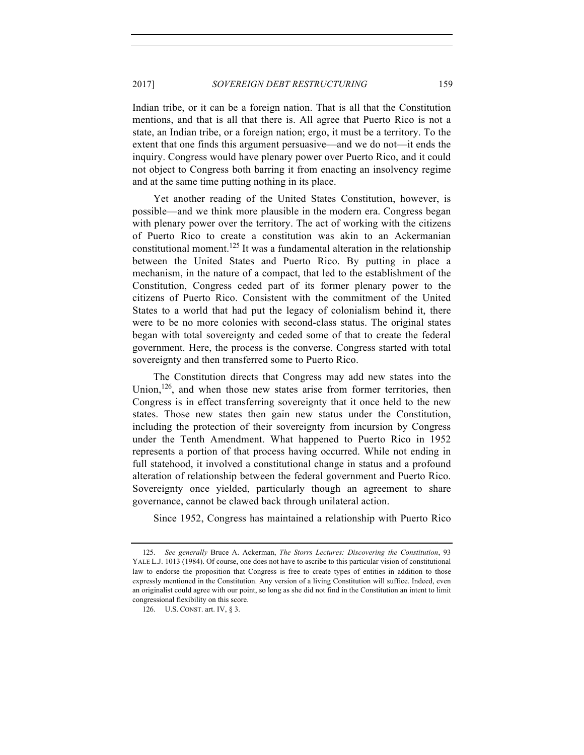Indian tribe, or it can be a foreign nation. That is all that the Constitution mentions, and that is all that there is. All agree that Puerto Rico is not a state, an Indian tribe, or a foreign nation; ergo, it must be a territory. To the extent that one finds this argument persuasive—and we do not—it ends the inquiry. Congress would have plenary power over Puerto Rico, and it could not object to Congress both barring it from enacting an insolvency regime and at the same time putting nothing in its place.

Yet another reading of the United States Constitution, however, is possible—and we think more plausible in the modern era. Congress began with plenary power over the territory. The act of working with the citizens of Puerto Rico to create a constitution was akin to an Ackermanian constitutional moment.<sup>125</sup> It was a fundamental alteration in the relationship between the United States and Puerto Rico. By putting in place a mechanism, in the nature of a compact, that led to the establishment of the Constitution, Congress ceded part of its former plenary power to the citizens of Puerto Rico. Consistent with the commitment of the United States to a world that had put the legacy of colonialism behind it, there were to be no more colonies with second-class status. The original states began with total sovereignty and ceded some of that to create the federal government. Here, the process is the converse. Congress started with total sovereignty and then transferred some to Puerto Rico.

The Constitution directs that Congress may add new states into the Union,<sup>126</sup>, and when those new states arise from former territories, then Congress is in effect transferring sovereignty that it once held to the new states. Those new states then gain new status under the Constitution, including the protection of their sovereignty from incursion by Congress under the Tenth Amendment. What happened to Puerto Rico in 1952 represents a portion of that process having occurred. While not ending in full statehood, it involved a constitutional change in status and a profound alteration of relationship between the federal government and Puerto Rico. Sovereignty once yielded, particularly though an agreement to share governance, cannot be clawed back through unilateral action.

Since 1952, Congress has maintained a relationship with Puerto Rico

<sup>125.</sup> *See generally* Bruce A. Ackerman, *The Storrs Lectures: Discovering the Constitution*, 93 YALE L.J. 1013 (1984). Of course, one does not have to ascribe to this particular vision of constitutional law to endorse the proposition that Congress is free to create types of entities in addition to those expressly mentioned in the Constitution. Any version of a living Constitution will suffice. Indeed, even an originalist could agree with our point, so long as she did not find in the Constitution an intent to limit congressional flexibility on this score.

<sup>126.</sup> U.S. CONST. art. IV, § 3.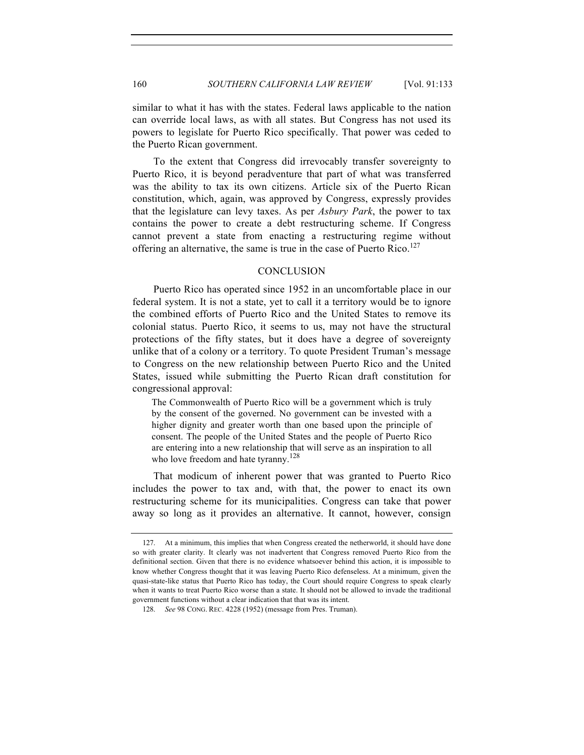similar to what it has with the states. Federal laws applicable to the nation can override local laws, as with all states. But Congress has not used its powers to legislate for Puerto Rico specifically. That power was ceded to the Puerto Rican government.

To the extent that Congress did irrevocably transfer sovereignty to Puerto Rico, it is beyond peradventure that part of what was transferred was the ability to tax its own citizens. Article six of the Puerto Rican constitution, which, again, was approved by Congress, expressly provides that the legislature can levy taxes. As per *Asbury Park*, the power to tax contains the power to create a debt restructuring scheme. If Congress cannot prevent a state from enacting a restructuring regime without offering an alternative, the same is true in the case of Puerto Rico.<sup>127</sup>

#### **CONCLUSION**

Puerto Rico has operated since 1952 in an uncomfortable place in our federal system. It is not a state, yet to call it a territory would be to ignore the combined efforts of Puerto Rico and the United States to remove its colonial status. Puerto Rico, it seems to us, may not have the structural protections of the fifty states, but it does have a degree of sovereignty unlike that of a colony or a territory. To quote President Truman's message to Congress on the new relationship between Puerto Rico and the United States, issued while submitting the Puerto Rican draft constitution for congressional approval:

The Commonwealth of Puerto Rico will be a government which is truly by the consent of the governed. No government can be invested with a higher dignity and greater worth than one based upon the principle of consent. The people of the United States and the people of Puerto Rico are entering into a new relationship that will serve as an inspiration to all who love freedom and hate tyranny.<sup>128</sup>

That modicum of inherent power that was granted to Puerto Rico includes the power to tax and, with that, the power to enact its own restructuring scheme for its municipalities. Congress can take that power away so long as it provides an alternative. It cannot, however, consign

<sup>127.</sup> At a minimum, this implies that when Congress created the netherworld, it should have done so with greater clarity. It clearly was not inadvertent that Congress removed Puerto Rico from the definitional section. Given that there is no evidence whatsoever behind this action, it is impossible to know whether Congress thought that it was leaving Puerto Rico defenseless. At a minimum, given the quasi-state-like status that Puerto Rico has today, the Court should require Congress to speak clearly when it wants to treat Puerto Rico worse than a state. It should not be allowed to invade the traditional government functions without a clear indication that that was its intent.

<sup>128.</sup> *See* 98 CONG. REC. 4228 (1952) (message from Pres. Truman).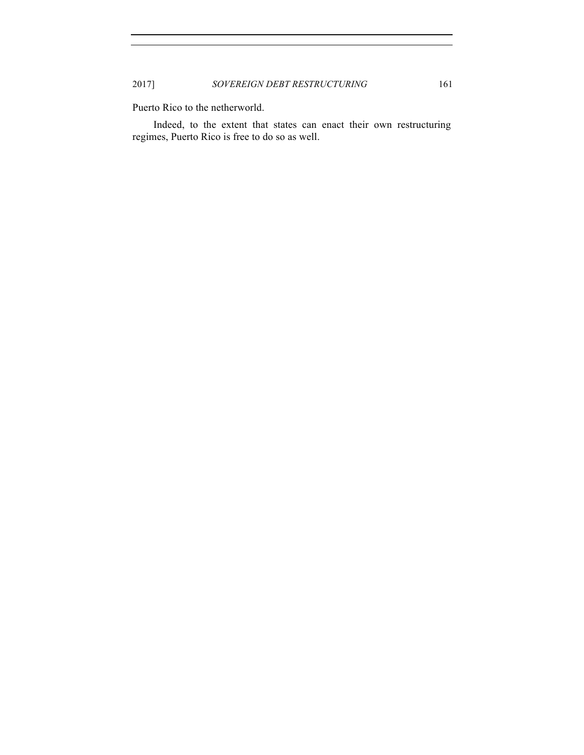## Puerto Rico to the netherworld.

Indeed, to the extent that states can enact their own restructuring regimes, Puerto Rico is free to do so as well.